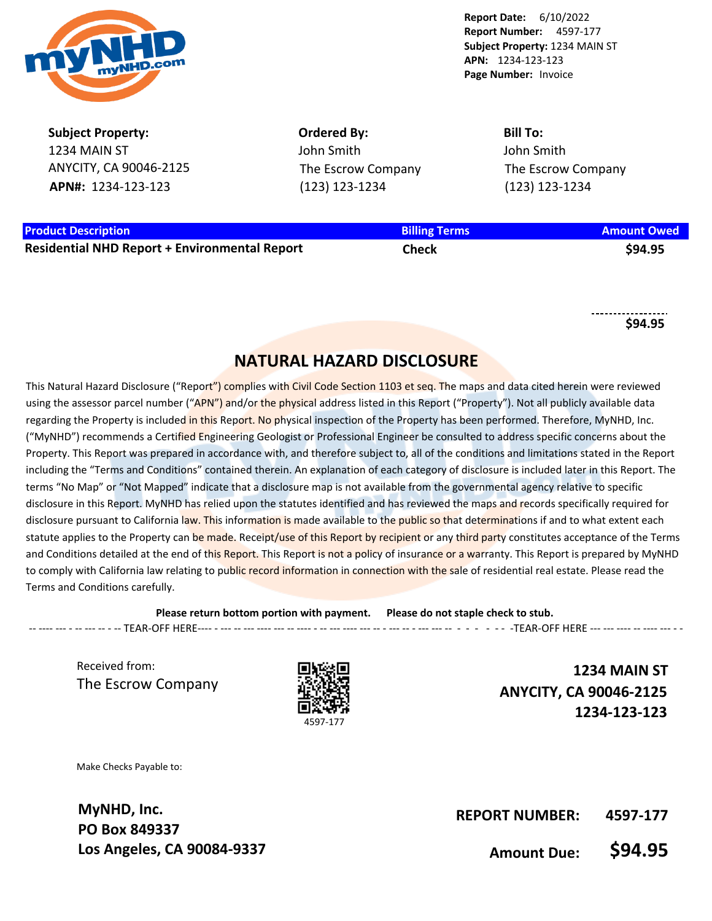

**Subject Property:** 1234 MAIN ST ANYCITY, CA 90046-2125 **APN#:** 1234-123-123

**Ordered By:** John Smith The Escrow Company (123) 123-1234

**Bill To:** John Smith The Escrow Company (123) 123-1234

# **Product Description Billing Terms Amount Owed**

**Residential NHD Report + Environmental Report Check \$94.95**

**\$94.95**

## **NATURAL HAZARD DISCLOSURE**

This Natural Hazard Disclosure ("Report") complies with Civil Code Section 1103 et seg. The maps and data cited herein were reviewed using the assessor parcel number ("APN") and/or the physical address listed in this Report ("Property"). Not all publicly available data regarding the Property is included in this Report. No physical inspection of the Property has been performed. Therefore, MyNHD, Inc. ("MyNHD") recommends a Certified Engineering Geologist or Professional Engineer be consulted to address specific concerns about the Property. This Report was prepared in accordance with, and therefore subject to, all of the conditions and limitations stated in the Report including the "Terms and Conditions" contained therein. An explanation of each category of disclosure is included later in this Report. The terms "No Map" or "Not Mapped" indicate that a disclosure map is not available from the governmental agency relative to specific disclosure in this Report. MyNHD has relied upon the statutes identified and has reviewed the maps and records specifically required for disclosure pursuant to California law. This information is made available to the public so that determinations if and to what extent each statute applies to the Property can be made. Receipt/use of this Report by recipient or any third party constitutes acceptance of the Terms and Conditions detailed at the end of this Report. This Report is not a policy of insurance or a warranty. This Report is prepared by MyNHD to comply with California law relating to public record information in connection with the sale of residential real estate. Please read the Terms and Conditions carefully.

**Please return bottom portion with payment. Please do not staple check to stub.**  --- --- - -- --- -- - - TEAR-OFF HERE---- - --- --- --- --- --- --- -- --- --- --- -- --- --- --- --- --- --- --- --- --- --- --- --- -

Received from: The Escrow Company



**1234 MAIN ST ANYCITY, CA 90046-2125 1234-123-123**

Make Checks Payable to:

**MyNHD, Inc. PO Box 849337 Los Angeles, CA 90084-9337**

**REPORT NUMBER: 4597-177**

**Amount Due: \$94.95**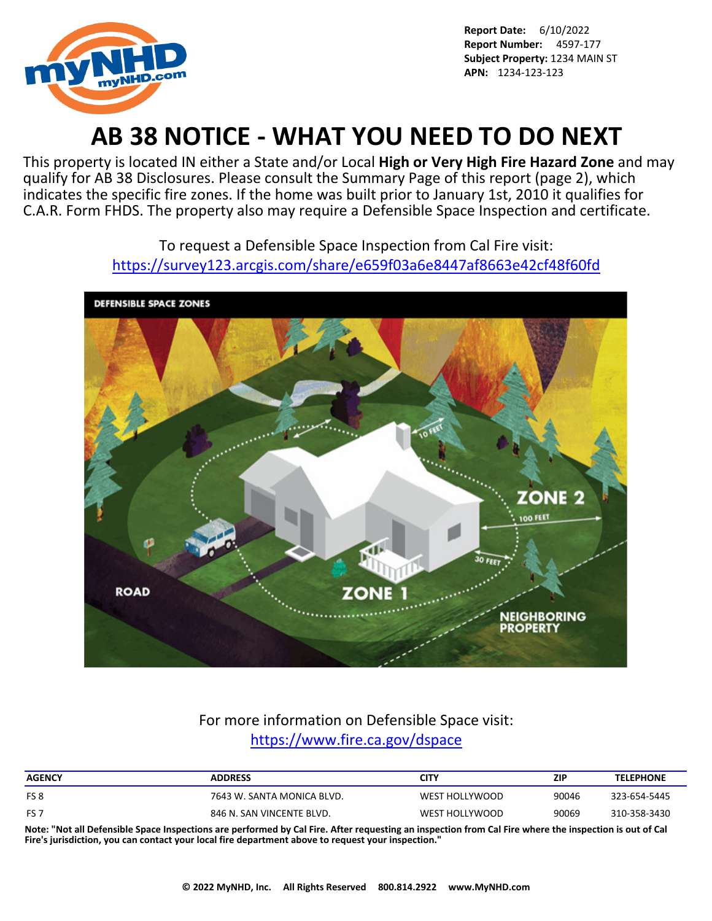

# **AB 38 NOTICE - WHAT YOU NEED TO DO NEXT**

This property is located IN either a State and/or Local **High or Very High Fire Hazard Zone** and may qualify for AB 38 Disclosures. Please consult the Summary Page of this report (page 2), which indicates the specific fire zones. If the home was built prior to January 1st, 2010 it qualifies for C.A.R. Form FHDS. The property also may require a Defensible Space Inspection and certificate.

> To request a Defensible Space Inspection from Cal Fire visit: <https://survey123.arcgis.com/share/e659f03a6e8447af8663e42cf48f60fd>



## For more information on Defensible Space visit: <https://www.fire.ca.gov/dspace>

| <b>ADDRESS</b>             | CITY           | ZIP   | <b>TELEPHONE</b> |
|----------------------------|----------------|-------|------------------|
| 7643 W. SANTA MONICA BLVD. | WEST HOLLYWOOD | 90046 | 323-654-5445     |
| 846 N. SAN VINCENTE BLVD.  | WEST HOLLYWOOD | 90069 | 310-358-3430     |
|                            |                |       |                  |

**Note: "Not all Defensible Space Inspections are performed by Cal Fire. After requesting an inspection from Cal Fire where the inspection is out of Cal Fire's jurisdiction, you can contact your local fire department above to request your inspection."**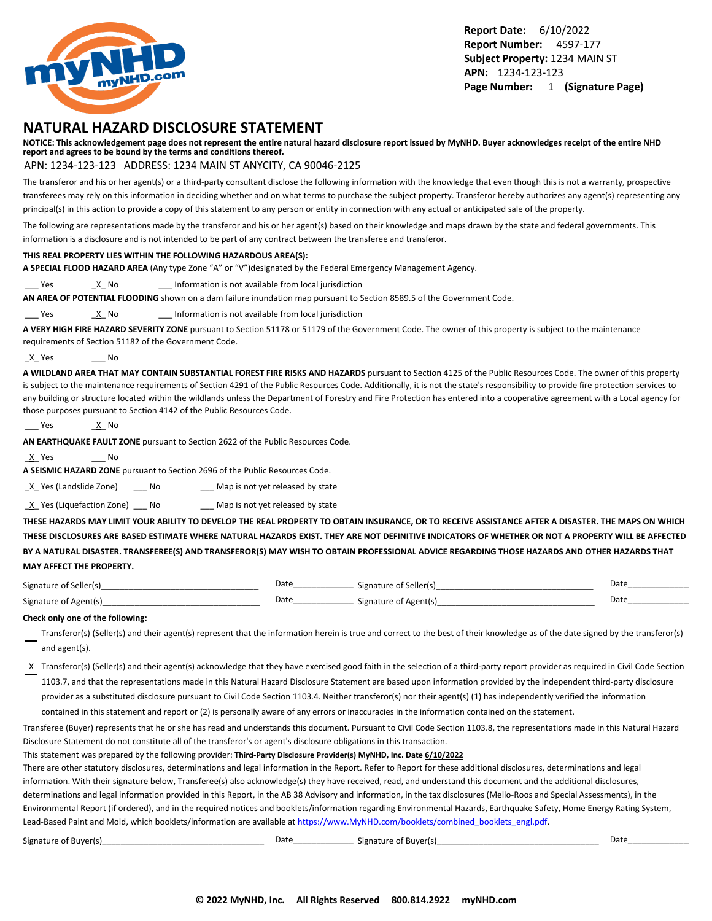

### **NATURAL HAZARD DISCLOSURE STATEMENT**

**NOTICE: This acknowledgement page does not represent the entire natural hazard disclosure report issued by MyNHD. Buyer acknowledges receipt of the entire NHD report and agrees to be bound by the terms and conditions thereof.**

#### APN: 1234-123-123 ADDRESS: 1234 MAIN ST ANYCITY, CA 90046-2125

The transferor and his or her agent(s) or a third-party consultant disclose the following information with the knowledge that even though this is not a warranty, prospective transferees may rely on this information in deciding whether and on what terms to purchase the subject property. Transferor hereby authorizes any agent(s) representing any principal(s) in this action to provide a copy of this statement to any person or entity in connection with any actual or anticipated sale of the property.

The following are representations made by the transferor and his or her agent(s) based on their knowledge and maps drawn by the state and federal governments. This information is a disclosure and is not intended to be part of any contract between the transferee and transferor.

#### **THIS REAL PROPERTY LIES WITHIN THE FOLLOWING HAZARDOUS AREA(S):**

**A SPECIAL FLOOD HAZARD AREA** (Any type Zone "A" or "V")designated by the Federal Emergency Management Agency.

Yes X No 2011 Information is not available from local jurisdiction

**AN AREA OF POTENTIAL FLOODING** shown on a dam failure inundation map pursuant to Section 8589.5 of the Government Code.

Yes X No 2011 Information is not available from local jurisdiction

**A VERY HIGH FIRE HAZARD SEVERITY ZONE** pursuant to Section 51178 or 51179 of the Government Code. The owner of this property is subject to the maintenance requirements of Section 51182 of the Government Code.

\_X\_ Yes \_\_\_ No

**A WILDLAND AREA THAT MAY CONTAIN SUBSTANTIAL FOREST FIRE RISKS AND HAZARDS** pursuant to Section 4125 of the Public Resources Code. The owner of this property is subject to the maintenance requirements of Section 4291 of the Public Resources Code. Additionally, it is not the state's responsibility to provide fire protection services to any building or structure located within the wildlands unless the Department of Forestry and Fire Protection has entered into a cooperative agreement with a Local agency for those purposes pursuant to Section 4142 of the Public Resources Code.

```
___ Yes ______<u>_X</u>__ No
```
**AN EARTHQUAKE FAULT ZONE** pursuant to Section 2622 of the Public Resources Code.

\_X\_ Yes \_\_\_ No

**A SEISMIC HAZARD ZONE** pursuant to Section 2696 of the Public Resources Code.

X Yes (Landslide Zone) \_\_\_ No \_\_\_\_ Map is not yet released by state

 $\underline{X}$  Yes (Liquefaction Zone) \_\_\_ No \_\_\_\_ Map is not yet released by state

**THESE HAZARDS MAY LIMIT YOUR ABILITY TO DEVELOP THE REAL PROPERTY TO OBTAIN INSURANCE, OR TO RECEIVE ASSISTANCE AFTER A DISASTER. THE MAPS ON WHICH THESE DISCLOSURES ARE BASED ESTIMATE WHERE NATURAL HAZARDS EXIST. THEY ARE NOT DEFINITIVE INDICATORS OF WHETHER OR NOT A PROPERTY WILL BE AFFECTED BY A NATURAL DISASTER. TRANSFEREE(S) AND TRANSFEROR(S) MAY WISH TO OBTAIN PROFESSIONAL ADVICE REGARDING THOSE HAZARDS AND OTHER HAZARDS THAT MAY AFFECT THE PROPERTY.**

| Signature of Seller(s) | Date | Signature of Seller(s) | Date |
|------------------------|------|------------------------|------|
| Signature of Agent(s)  | Date | Signature of Agent(s)  | Date |

#### **Check only one of the following:**

- Transferor(s) (Seller(s) and their agent(s) represent that the information herein is true and correct to the best of their knowledge as of the date signed by the transferor(s) and agent(s).
- X Transferor(s) (Seller(s) and their agent(s) acknowledge that they have exercised good faith in the selection of a third-party report provider as required in Civil Code Section 1103.7, and that the representations made in this Natural Hazard Disclosure Statement are based upon information provided by the independent third-party disclosure provider as a substituted disclosure pursuant to Civil Code Section 1103.4. Neither transferor(s) nor their agent(s) (1) has independently verified the information

contained in this statement and report or (2) is personally aware of any errors or inaccuracies in the information contained on the statement.

Transferee (Buyer) represents that he or she has read and understands this document. Pursuant to Civil Code Section 1103.8, the representations made in this Natural Hazard Disclosure Statement do not constitute all of the transferor's or agent's disclosure obligations in this transaction.

This statement was prepared by the following provider: **Third-Party Disclosure Provider(s) MyNHD, Inc. Date 6/10/2022**

There are other statutory disclosures, determinations and legal information in the Report. Refer to Report for these additional disclosures, determinations and legal information. With their signature below, Transferee(s) also acknowledge(s) they have received, read, and understand this document and the additional disclosures, determinations and legal information provided in this Report, in the AB 38 Advisory and information, in the tax disclosures (Mello-Roos and Special Assessments), in the Environmental Report (if ordered), and in the required notices and booklets/information regarding Environmental Hazards, Earthquake Safety, Home Energy Rating System, Lead-Based Paint and Mold, which booklets/information are available at [https://www.MyNHD.com/booklets/combined\\_booklets\\_engl.pdf.](https://www.MyNHD.com/booklets/combined_booklets_engl.pdf)

| $\sim$ $\sim$<br>Signature<br>nt Ruveris<br><b>BUVELLS</b><br>$\cdot$ | Date | Signature of Buver(s) | Dati |
|-----------------------------------------------------------------------|------|-----------------------|------|
|-----------------------------------------------------------------------|------|-----------------------|------|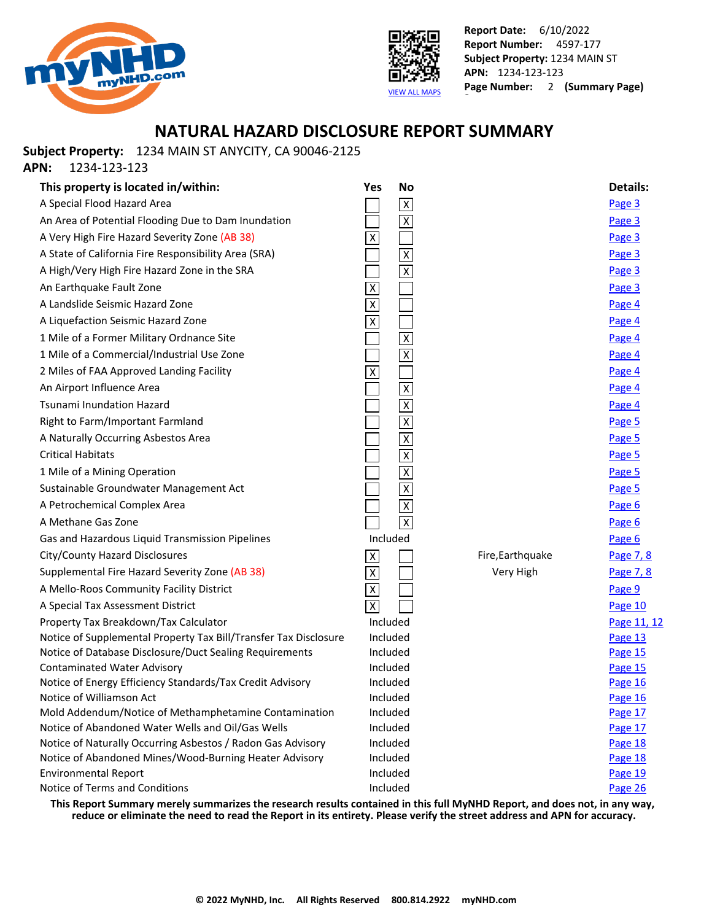



### **NATURAL HAZARD DISCLOSURE REPORT SUMMARY**

**Subject Property:** 1234 MAIN ST ANYCITY, CA 90046-2125

**APN:** 1234-123-123

| This property is located in/within:                                                                              | <b>No</b><br>Yes          |                  | <b>Details:</b>    |
|------------------------------------------------------------------------------------------------------------------|---------------------------|------------------|--------------------|
| A Special Flood Hazard Area                                                                                      | $\overline{\mathsf{x}}$   |                  | Page 3             |
| An Area of Potential Flooding Due to Dam Inundation                                                              | $\overline{\mathsf{x}}$   |                  | Page 3             |
| A Very High Fire Hazard Severity Zone (AB 38)                                                                    | Χ                         |                  | Page 3             |
| A State of California Fire Responsibility Area (SRA)                                                             | $\overline{\mathsf{x}}$   |                  | Page 3             |
| A High/Very High Fire Hazard Zone in the SRA                                                                     | $\overline{\mathsf{x}}$   |                  | Page 3             |
| An Earthquake Fault Zone                                                                                         | $\overline{X}$            |                  | Page 3             |
| A Landslide Seismic Hazard Zone                                                                                  | $\overline{\mathsf{X}}$   |                  | Page 4             |
| A Liquefaction Seismic Hazard Zone                                                                               | $\overline{\mathsf{x}}$   |                  | Page 4             |
| 1 Mile of a Former Military Ordnance Site                                                                        | $\overline{\mathsf{x}}$   |                  | Page 4             |
| 1 Mile of a Commercial/Industrial Use Zone                                                                       | $\overline{\mathsf{x}}$   |                  | Page 4             |
| 2 Miles of FAA Approved Landing Facility                                                                         | $\overline{X}$            |                  | Page 4             |
| An Airport Influence Area                                                                                        | $\overline{\mathsf{x}}$   |                  | Page 4             |
| <b>Tsunami Inundation Hazard</b>                                                                                 | $\overline{\mathsf{x}}$   |                  | Page 4             |
| Right to Farm/Important Farmland                                                                                 | $\overline{\mathsf{x}}$   |                  | Page 5             |
| A Naturally Occurring Asbestos Area                                                                              | $\overline{\mathsf{x}}$   |                  | Page 5             |
| <b>Critical Habitats</b>                                                                                         | $\overline{\mathsf{X}}$   |                  | Page 5             |
| 1 Mile of a Mining Operation                                                                                     | $\overline{\mathsf{x}}$   |                  | Page 5             |
| Sustainable Groundwater Management Act                                                                           | $\overline{\mathsf{x}}$   |                  | Page 5             |
| A Petrochemical Complex Area                                                                                     | $\overline{\mathsf{X}}$   |                  | Page 6             |
| A Methane Gas Zone                                                                                               | $\overline{X}$            |                  | Page 6             |
| Gas and Hazardous Liquid Transmission Pipelines                                                                  | Included                  |                  | Page 6             |
| City/County Hazard Disclosures                                                                                   | $\boldsymbol{\mathsf{X}}$ | Fire, Earthquake | Page 7, 8          |
| Supplemental Fire Hazard Severity Zone (AB 38)                                                                   | $\overline{X}$            | Very High        | Page 7, 8          |
| A Mello-Roos Community Facility District                                                                         | $\overline{\mathsf{X}}$   |                  | Page 9             |
| A Special Tax Assessment District                                                                                | $\overline{X}$            |                  | Page 10            |
| Property Tax Breakdown/Tax Calculator                                                                            | Included                  |                  | Page 11, 12        |
| Notice of Supplemental Property Tax Bill/Transfer Tax Disclosure                                                 | Included                  |                  | Page 13            |
| Notice of Database Disclosure/Duct Sealing Requirements                                                          | Included                  |                  | Page 15            |
| <b>Contaminated Water Advisory</b>                                                                               | Included                  |                  | Page 15            |
| Notice of Energy Efficiency Standards/Tax Credit Advisory                                                        | Included                  |                  | Page 16            |
| Notice of Williamson Act                                                                                         | Included                  |                  | Page 16            |
| Mold Addendum/Notice of Methamphetamine Contamination                                                            | Included                  |                  | Page 17            |
| Notice of Abandoned Water Wells and Oil/Gas Wells<br>Notice of Naturally Occurring Asbestos / Radon Gas Advisory | Included<br>Included      |                  | Page 17            |
| Notice of Abandoned Mines/Wood-Burning Heater Advisory                                                           | Included                  |                  | Page 18<br>Page 18 |
| <b>Environmental Report</b>                                                                                      | Included                  |                  | Page 19            |
| Notice of Terms and Conditions                                                                                   | Included                  |                  | Page 26            |
|                                                                                                                  |                           |                  |                    |

**This Report Summary merely summarizes the research results contained in this full MyNHD Report, and does not, in any way, reduce or eliminate the need to read the Report in its entirety. Please verify the street address and APN for accuracy.**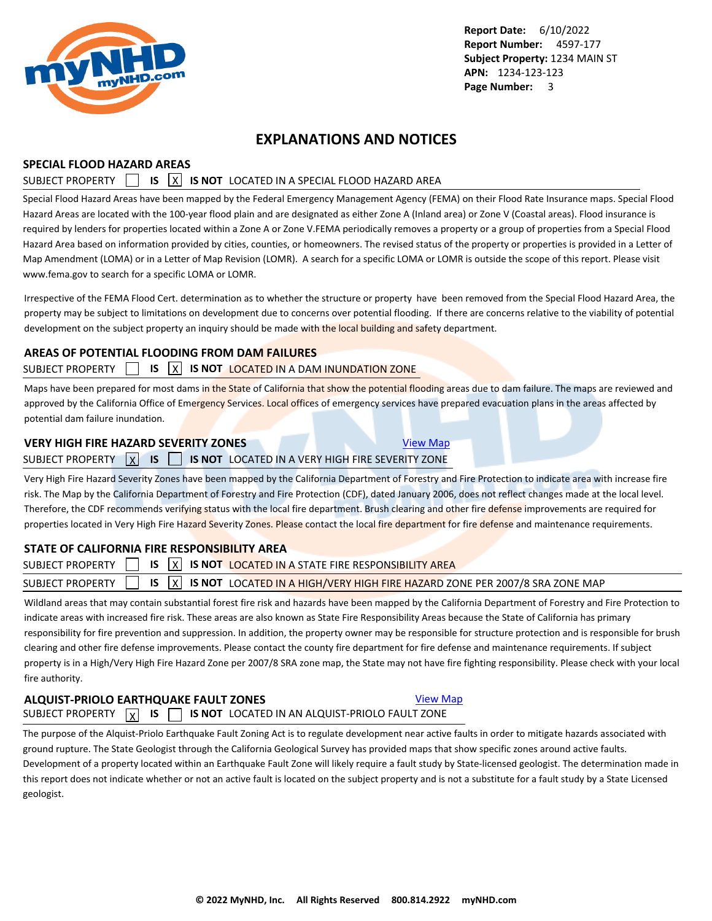<span id="page-4-0"></span>

### **EXPLANATIONS AND NOTICES**

### **SPECIAL FLOOD HAZARD AREAS**

### SUBJECT PROPERTY **15 X IS NOT** LOCATED IN A SPECIAL FLOOD HAZARD AREA

Special Flood Hazard Areas have been mapped by the Federal Emergency Management Agency (FEMA) on their Flood Rate Insurance maps. Special Flood Hazard Areas are located with the 100-year flood plain and are designated as either Zone A (Inland area) or Zone V (Coastal areas). Flood insurance is required by lenders for properties located within a Zone A or Zone V.FEMA periodically removes a property or a group of properties from a Special Flood Hazard Area based on information provided by cities, counties, or homeowners. The revised status of the property or properties is provided in a Letter of Map Amendment (LOMA) or in a Letter of Map Revision (LOMR). A search for a specific LOMA or LOMR is outside the scope of this report. Please visit www.fema.gov to search for a specific LOMA or LOMR.

Irrespective of the FEMA Flood Cert. determination as to whether the structure or property have been removed from the Special Flood Hazard Area, the property may be subject to limitations on development due to concerns over potential flooding. If there are concerns relative to the viability of potential development on the subject property an inquiry should be made with the local building and safety department.

### **AREAS OF POTENTIAL FLOODING FROM DAM FAILURES**

### SUBJECT PROPERTY **IS X IS NOT LOCATED IN A DAM INUNDATION ZONE**

Maps have been prepared for most dams in the State of California that show the potential flooding areas due to dam failure. The maps are reviewed and approved by the California Office of Emergency Services. Local offices of emergency services have prepared evacuation plans in the areas affected by potential dam failure inundation.

### **VERY HIGH FIRE HAZARD SEVERITY ZONES** [View Map](https://www.mynhd.com/hazardmaps/1846047/844300)

### SUBJECT PROPERTY X **IS IS 15 NOT** LOCATED IN A VERY HIGH FIRE SEVERITY ZONE

Very High Fire Hazard Severity Zones have been mapped by the California Department of Forestry and Fire Protection to indicate area with increase fire risk. The Map by the California Department of Forestry and Fire Protection (CDF), dated January 2006, does not reflect changes made at the local level. Therefore, the CDF recommends verifying status with the local fire department. Brush clearing and other fire defense improvements are required for properties located in Very High Fire Hazard Severity Zones. Please contact the local fire department for fire defense and maintenance requirements.

### **STATE OF CALIFORNIA FIRE RESPONSIBILITY AREA**

|  | SUBJECT PROPERTY $\begin{bmatrix} 1 & 1 \end{bmatrix}$ is $\begin{bmatrix} x \\ y \end{bmatrix}$ is not located in a state fire responsibility area |  |
|--|-----------------------------------------------------------------------------------------------------------------------------------------------------|--|
|  | SUBJECT PROPERTY $\Box$ IS $\boxed{\chi}$ IS NOT LOCATED IN A HIGH/VERY HIGH FIRE HAZARD ZONE PER 2007/8 SRA ZONE MAP                               |  |
|  |                                                                                                                                                     |  |

Wildland areas that may contain substantial forest fire risk and hazards have been mapped by the California Department of Forestry and Fire Protection to indicate areas with increased fire risk. These areas are also known as State Fire Responsibility Areas because the State of California has primary responsibility for fire prevention and suppression. In addition, the property owner may be responsible for structure protection and is responsible for brush clearing and other fire defense improvements. Please contact the county fire department for fire defense and maintenance requirements. If subject property is in a High/Very High Fire Hazard Zone per 2007/8 SRA zone map, the State may not have fire fighting responsibility. Please check with your local fire authority.

### **ALQUIST-PRIOLO EARTHQUAKE FAULT ZONES [View Map](https://www.mynhd.com/hazardmaps/1846048/844300)**

SUBJECT PROPERTY  $\boxed{\chi}$  **IS**  $\boxed{\phantom{0}}$  **IS NOT** LOCATED IN AN ALQUIST-PRIOLO FAULT ZONE

The purpose of the Alquist-Priolo Earthquake Fault Zoning Act is to regulate development near active faults in order to mitigate hazards associated with ground rupture. The State Geologist through the California Geological Survey has provided maps that show specific zones around active faults. Development of a property located within an Earthquake Fault Zone will likely require a fault study by State-licensed geologist. The determination made in this report does not indicate whether or not an active fault is located on the subject property and is not a substitute for a fault study by a State Licensed geologist.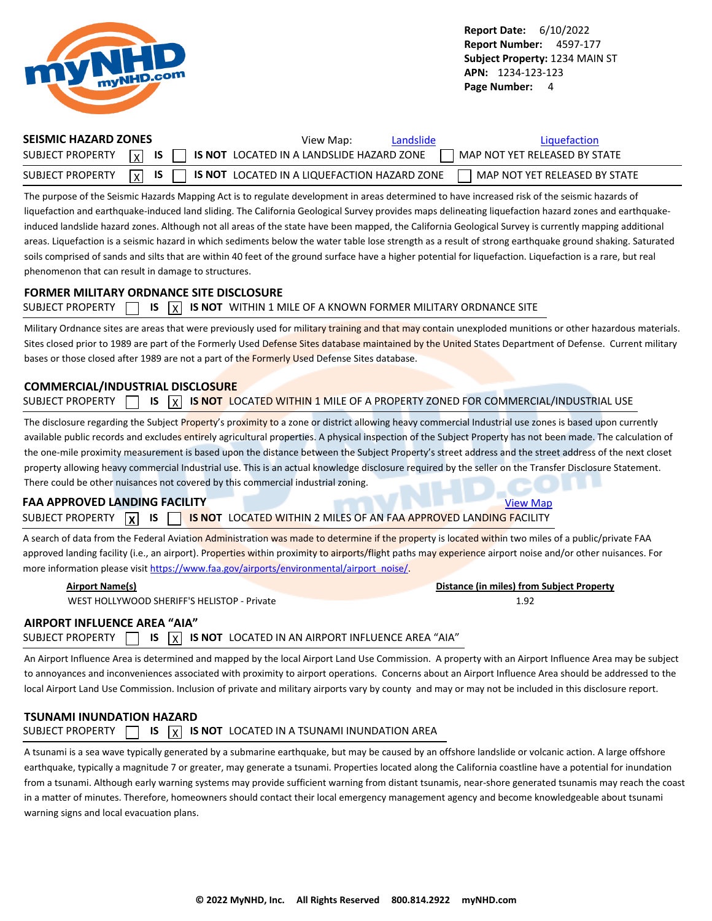<span id="page-5-0"></span>

| <b>SEISMIC HAZARD ZONES</b> | View Map:<br>Landslide                                                               | Liquefaction                    |
|-----------------------------|--------------------------------------------------------------------------------------|---------------------------------|
|                             | SUBJECT PROPERTY $\boxed{x}$ is $\boxed{ }$ is not located in a land sum HAZARD ZONE | MAP NOT YET RELEASED BY STATE   |
| SUBJECT PROPERTY            | $\vert x \vert$ IS $\vert$ IS NOT LOCATED IN A LIQUEFACTION HAZARD ZONE              | L MAP NOT YET RELEASED BY STATE |

The purpose of the Seismic Hazards Mapping Act is to regulate development in areas determined to have increased risk of the seismic hazards of liquefaction and earthquake-induced land sliding. The California Geological Survey provides maps delineating liquefaction hazard zones and earthquakeinduced landslide hazard zones. Although not all areas of the state have been mapped, the California Geological Survey is currently mapping additional areas. Liquefaction is a seismic hazard in which sediments below the water table lose strength as a result of strong earthquake ground shaking. Saturated soils comprised of sands and silts that are within 40 feet of the ground surface have a higher potential for liquefaction. Liquefaction is a rare, but real phenomenon that can result in damage to structures.

#### **FORMER MILITARY ORDNANCE SITE DISCLOSURE**

|  |  |  |  |  | SUBJECT PROPERTY $\Box$ IS $\overline{X}$ IS NOT WITHIN 1 MILE OF A KNOWN FORMER MILITARY ORDNANCE SITE |
|--|--|--|--|--|---------------------------------------------------------------------------------------------------------|
|--|--|--|--|--|---------------------------------------------------------------------------------------------------------|

Military Ordnance sites are areas that were previously used for military training and that may contain unexploded munitions or other hazardous materials. Sites closed prior to 1989 are part of the Formerly Used Defense Sites database maintained by the United States Department of Defense. Current military bases or those closed after 1989 are not a part of the Formerly Used Defense Sites database.

### **COMMERCIAL/INDUSTRIAL DISCLOSURE**

| <b>SUBJECT PROPERTY</b> |  |  |  |  | IS $\overline{X}$ IS NOT LOCATED WITHIN 1 MILE OF A PROPERTY ZONED FOR COMMERCIAL/INDUSTRIAL USE |  |  |  |  |  |  |  |  |  |  |
|-------------------------|--|--|--|--|--------------------------------------------------------------------------------------------------|--|--|--|--|--|--|--|--|--|--|
|-------------------------|--|--|--|--|--------------------------------------------------------------------------------------------------|--|--|--|--|--|--|--|--|--|--|

The disclosure regarding the Subject Property's proximity to a zone or district allowing heavy commercial Industrial use zones is based upon currently available public records and excludes entirely agricultural properties. A physical inspection of the Subject Property has not been made. The calculation of the one-mile proximity measurement is based upon the distance between the Subject Property's street address and the street address of the next closet property allowing heavy commercial Industrial use. This is an actual knowledge disclosure required by the seller on the Transfer Disclosure Statement. There could be other nuisances not covered by this commercial industrial zoning.

### **FAA APPROVED LANDING FACILITY [View Map](https://www.mynhd.com/hazardmaps/1846054/844300)** View Map

SUBJECT PROPERTY **X IS IS IS** NOT LOCATED WITHIN 2 MILES OF AN FAA APPROVED LANDING FACILITY

A search of data from the Federal Aviation Administration was made to determine if the property is located within two miles of a public/private FAA approved landing facility (i.e., an airport). Properties within proximity to airports/flight paths may experience airport noise and/or other nuisances. For more information please visit [https://www.faa.gov/airports/environmental/airport\\_noise/](https://www.faa.gov/airports/environmental/airport_noise/).

| Airport Name(s)                             | Distance (in miles) from Subject Property |
|---------------------------------------------|-------------------------------------------|
| WEST HOLLYWOOD SHERIFF'S HELISTOP - Private | 1.92                                      |
| IRDORT INFITIENCE AREA "AIA"                |                                           |

### **AIRPORT INFLUENCE AREA "AIA"**

SUBJECT PROPERTY  $\Box$  **IS**  $\overline{X}$  **IS NOT** LOCATED IN AN AIRPORT INFLUENCE AREA "AIA"

An Airport Influence Area is determined and mapped by the local Airport Land Use Commission. A property with an Airport Influence Area may be subject to annoyances and inconveniences associated with proximity to airport operations. Concerns about an Airport Influence Area should be addressed to the local Airport Land Use Commission. Inclusion of private and military airports vary by county and may or may not be included in this disclosure report.

### **TSUNAMI INUNDATION HAZARD** SUBJECT PROPERTY  $\Box$  **IS**  $\overline{X}$  **IS NOT** LOCATED IN A TSUNAMI INUNDATION AREA

A tsunami is a sea wave typically generated by a submarine earthquake, but may be caused by an offshore landslide or volcanic action. A large offshore earthquake, typically a magnitude 7 or greater, may generate a tsunami. Properties located along the California coastline have a potential for inundation from a tsunami. Although early warning systems may provide sufficient warning from distant tsunamis, near-shore generated tsunamis may reach the coast in a matter of minutes. Therefore, homeowners should contact their local emergency management agency and become knowledgeable about tsunami warning signs and local evacuation plans.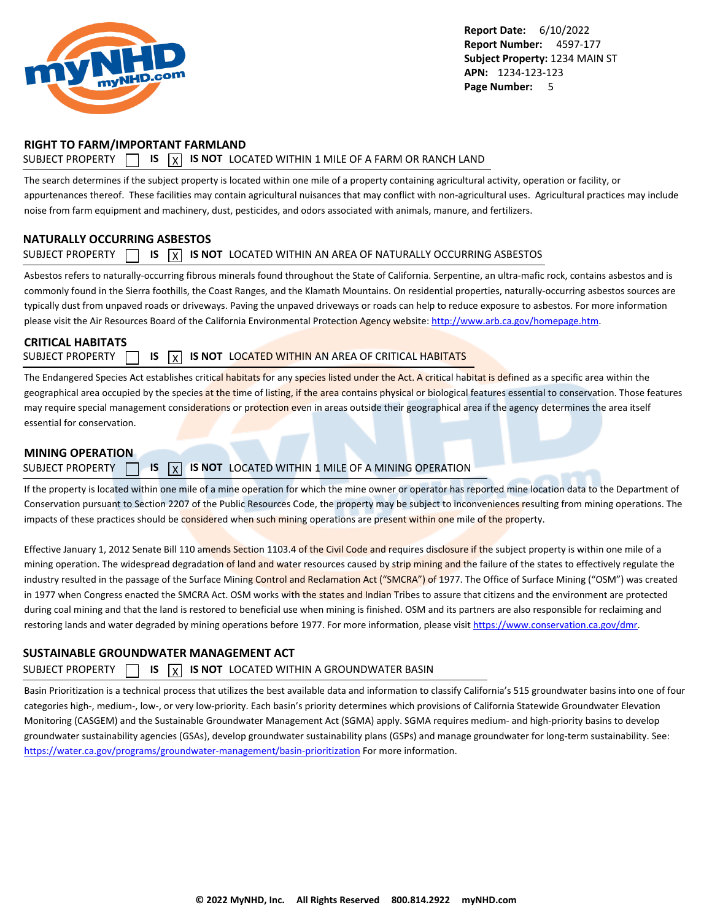<span id="page-6-0"></span>

### **RIGHT TO FARM/IMPORTANT FARMLAND**

### SUBJECT PROPERTY  $\Box$  **IS**  $\overline{X}$  **IS NOT** LOCATED WITHIN 1 MILE OF A FARM OR RANCH LAND

The search determines if the subject property is located within one mile of a property containing agricultural activity, operation or facility, or appurtenances thereof. These facilities may contain agricultural nuisances that may conflict with non-agricultural uses. Agricultural practices may include noise from farm equipment and machinery, dust, pesticides, and odors associated with animals, manure, and fertilizers.

### **NATURALLY OCCURRING ASBESTOS**

### SUBJECT PROPERTY  $\Box$  **IS**  $\overline{X}$  **IS NOT** LOCATED WITHIN AN AREA OF NATURALLY OCCURRING ASBESTOS

Asbestos refers to naturally-occurring fibrous minerals found throughout the State of California. Serpentine, an ultra-mafic rock, contains asbestos and is commonly found in the Sierra foothills, the Coast Ranges, and the Klamath Mountains. On residential properties, naturally-occurring asbestos sources are typically dust from unpaved roads or driveways. Paving the unpaved driveways or roads can help to reduce exposure to asbestos. For more information please visit the Air Resources Board of the California Environmental Protection Agency website:<http://www.arb.ca.gov/homepage.htm>.

### **CRITICAL HABITATS**

SUBJECT PROPERTY **15 IS X IS NOT** LOCATED WITHIN AN AREA OF CRITICAL HABITATS

The Endangered Species Act establishes critical habitats for any species listed under the Act. A critical habitat is defined as a specific area within the geographical area occupied by the species at the time of listing, if the area contains physical or biological features essential to conservation. Those features may require special management considerations or protection even in areas outside their geographical area if the agency determines the area itself essential for conservation.

### **MINING OPERATION**

### SUBJECT PROPERTY **15 X IS NOT** LOCATED WITHIN 1 MILE OF A MINING OPERATION

If the property is located within one mile of a mine operation for which the mine owner or operator has reported mine location data to the Department of Conservation pursuant to Section 2207 of the Public Resources Code, the property may be subject to inconveniences resulting from mining operations. The impacts of these practices should be considered when such mining operations are present within one mile of the property.

Effective January 1, 2012 Senate Bill 110 amends Section 1103.4 of the Civil Code and requires disclosure if the subject property is within one mile of a mining operation. The widespread degradation of land and water resources caused by strip mining and the failure of the states to effectively regulate the industry resulted in the passage of the Surface Mining Control and Reclamation Act ("SMCRA") of 1977. The Office of Surface Mining ("OSM") was created in 1977 when Congress enacted the SMCRA Act. OSM works with the states and Indian Tribes to assure that citizens and the environment are protected during coal mining and that the land is restored to beneficial use when mining is finished. OSM and its partners are also responsible for reclaiming and restoring lands and water degraded by mining operations before 1977. For more information, please visit<https://www.conservation.ca.gov/dmr>.

### **SUSTAINABLE GROUNDWATER MANAGEMENT ACT**

### SUBJECT PROPERTY  $\Box$  **IS**  $\overline{X}$  **IS NOT** LOCATED WITHIN A GROUNDWATER BASIN

Basin Prioritization is a technical process that utilizes the best available data and information to classify California's 515 groundwater basins into one of four categories high-, medium-, low-, or very low-priority. Each basin's priority determines which provisions of California Statewide Groundwater Elevation Monitoring (CASGEM) and the Sustainable Groundwater Management Act (SGMA) apply. SGMA requires medium- and high-priority basins to develop groundwater sustainability agencies (GSAs), develop groundwater sustainability plans (GSPs) and manage groundwater for long-term sustainability. See: <https://water.ca.gov/programs/groundwater-management/basin-prioritization>For more information.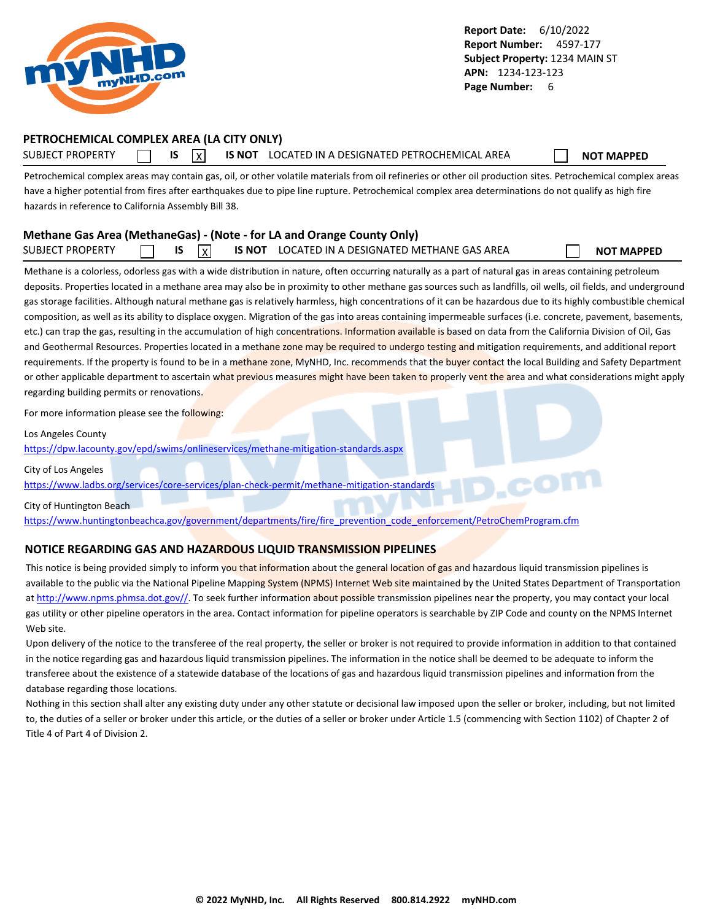<span id="page-7-0"></span>

### **PETROCHEMICAL COMPLEX AREA (LA CITY ONLY)**

SUBJECT PROPERTY **IS** IS **INOT LOCATED IN A DESIGNATED PETROCHEMICAL AREA NOT MAPPED** 

Petrochemical complex areas may contain gas, oil, or other volatile materials from oil refineries or other oil production sites. Petrochemical complex areas have a higher potential from fires after earthquakes due to pipe line rupture. Petrochemical complex area determinations do not qualify as high fire hazards in reference to California Assembly Bill 38.

### **Methane Gas Area (MethaneGas) - (Note - for LA and Orange County Only)** SUBJECT PROPERTY **IS** IS X IS NOT LOCATED IN A DESIGNATED METHANE GAS AREA **NOT MAPPED**

Methane is a colorless, odorless gas with a wide distribution in nature, often occurring naturally as a part of natural gas in areas containing petroleum deposits. Properties located in a methane area may also be in proximity to other methane gas sources such as landfills, oil wells, oil fields, and underground gas storage facilities. Although natural methane gas is relatively harmless, high concentrations of it can be hazardous due to its highly combustible chemical composition, as well as its ability to displace oxygen. Migration of the gas into areas containing impermeable surfaces (i.e. concrete, pavement, basements, etc.) can trap the gas, resulting in the accumulation of high concentrations. Information available is based on data from the California Division of Oil, Gas and Geothermal Resources. Properties located in a methane zone may be required to undergo testing and mitigation requirements, and additional report requirements. If the property is found to be in a methane zone, MyNHD, Inc. recommends that the buyer contact the local Building and Safety Department or other applicable department to ascertain what previous measures might have been taken to properly vent the area and what considerations might apply regarding building permits or renovations.

For more information please see the following:

Los Angeles County

<https://dpw.lacounty.gov/epd/swims/onlineservices/methane-mitigation-standards.aspx>

City of Los Angeles

<https://www.ladbs.org/services/core-services/plan-check-permit/methane-mitigation-standards>

City of Huntington Beach

[https://www.huntingtonbeachca.gov/government/departments/fire/fire\\_prevention\\_code\\_enforcement/PetroChemProgram.cfm](https://www.huntingtonbeachca.gov/government/departments/fire/fire_prevention_code_enforcement/PetroChemProgram.cfm)

### **NOTICE REGARDING GAS AND HAZARDOUS LIQUID TRANSMISSION PIPELINES**

This notice is being provided simply to inform you that information about the general location of gas and hazardous liquid transmission pipelines is available to the public via the National Pipeline Mapping System (NPMS) Internet Web site maintained by the United States Department of Transportation at [http://www.npms.phmsa.dot.gov//.](http://www.npms.phmsa.dot.gov/) To seek further information about possible transmission pipelines near the property, you may contact your local gas utility or other pipeline operators in the area. Contact information for pipeline operators is searchable by ZIP Code and county on the NPMS Internet Web site.

Upon delivery of the notice to the transferee of the real property, the seller or broker is not required to provide information in addition to that contained in the notice regarding gas and hazardous liquid transmission pipelines. The information in the notice shall be deemed to be adequate to inform the transferee about the existence of a statewide database of the locations of gas and hazardous liquid transmission pipelines and information from the database regarding those locations.

Nothing in this section shall alter any existing duty under any other statute or decisional law imposed upon the seller or broker, including, but not limited to, the duties of a seller or broker under this article, or the duties of a seller or broker under Article 1.5 (commencing with Section 1102) of Chapter 2 of Title 4 of Part 4 of Division 2.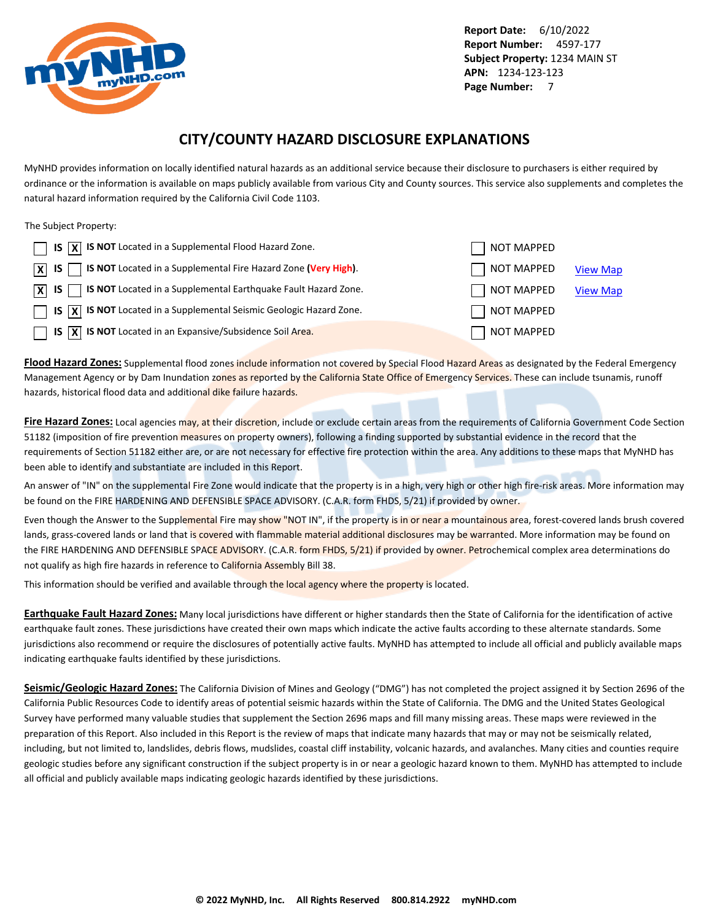<span id="page-8-0"></span>

### **CITY/COUNTY HAZARD DISCLOSURE EXPLANATIONS**

MyNHD provides information on locally identified natural hazards as an additional service because their disclosure to purchasers is either required by ordinance or the information is available on maps publicly available from various City and County sources. This service also supplements and completes the natural hazard information required by the California Civil Code 1103.

The Subject Property:

| $\Box$ IS $\overline{X}$ IS NOT Located in a Supplemental Flood Hazard Zone.                                 | NOT MAPPED |                 |
|--------------------------------------------------------------------------------------------------------------|------------|-----------------|
| $\boxed{\mathsf{X}}$ IS $\boxed{\phantom{1}}$ IS NOT Located in a Supplemental Fire Hazard Zone (Very High). | NOT MAPPED | <b>View Map</b> |
| $\overline{X}$ IS $\overline{S}$ IS NOT Located in a Supplemental Earthquake Fault Hazard Zone.              | NOT MAPPED | <b>View Map</b> |
| $\Box$ IS $\overline{X}$ IS NOT Located in a Supplemental Seismic Geologic Hazard Zone.                      | NOT MAPPED |                 |
| $\Box$ IS $\overline{X}$ IS NOT Located in an Expansive/Subsidence Soil Area.                                | NOT MAPPED |                 |

**Flood Hazard Zones:** Supplemental flood zones include information not covered by Special Flood Hazard Areas as designated by the Federal Emergency Management Agency or by Dam Inundation zones as reported by the California State Office of Emergency Services. These can include tsunamis, runoff hazards, historical flood data and additional dike failure hazards.

**Fire Hazard Zones:** Local agencies may, at their discretion, include or exclude certain areas from the requirements of California Government Code Section 51182 (imposition of fire prevention measures on property owners), following a finding supported by substantial evidence in the record that the requirements of Section 51182 either are, or are not necessary for effective fire protection within the area. Any additions to these maps that MyNHD has been able to identify and substantiate are included in this Report.

An answer of "IN" on the supplemental Fire Zone would indicate that the property is in a high, very high or other high fire-risk areas. More information may be found on the FIRE HARDENING AND DEFENSIBLE SPACE ADVISORY. (C.A.R. form FHDS, 5/21) if provided by owner.

Even though the Answer to the Supplemental Fire may show "NOT IN", if the property is in or near a mountainous area, forest-covered lands brush covered lands, grass-covered lands or land that is covered with flammable material additional disclosures may be warranted. More information may be found on the FIRE HARDENING AND DEFENSIBLE SPACE ADVISORY. (C.A.R. form FHDS, 5/21) if provided by owner. Petrochemical complex area determinations do not qualify as high fire hazards in reference to California Assembly Bill 38.

This information should be verified and available through the local agency where the property is located.

**Earthquake Fault Hazard Zones:** Many local jurisdictions have different or higher standards then the State of California for the identification of active earthquake fault zones. These jurisdictions have created their own maps which indicate the active faults according to these alternate standards. Some jurisdictions also recommend or require the disclosures of potentially active faults. MyNHD has attempted to include all official and publicly available maps indicating earthquake faults identified by these jurisdictions.

**Seismic/Geologic Hazard Zones:** The California Division of Mines and Geology ("DMG") has not completed the project assigned it by Section 2696 of the California Public Resources Code to identify areas of potential seismic hazards within the State of California. The DMG and the United States Geological Survey have performed many valuable studies that supplement the Section 2696 maps and fill many missing areas. These maps were reviewed in the preparation of this Report. Also included in this Report is the review of maps that indicate many hazards that may or may not be seismically related, including, but not limited to, landslides, debris flows, mudslides, coastal cliff instability, volcanic hazards, and avalanches. Many cities and counties require geologic studies before any significant construction if the subject property is in or near a geologic hazard known to them. MyNHD has attempted to include all official and publicly available maps indicating geologic hazards identified by these jurisdictions.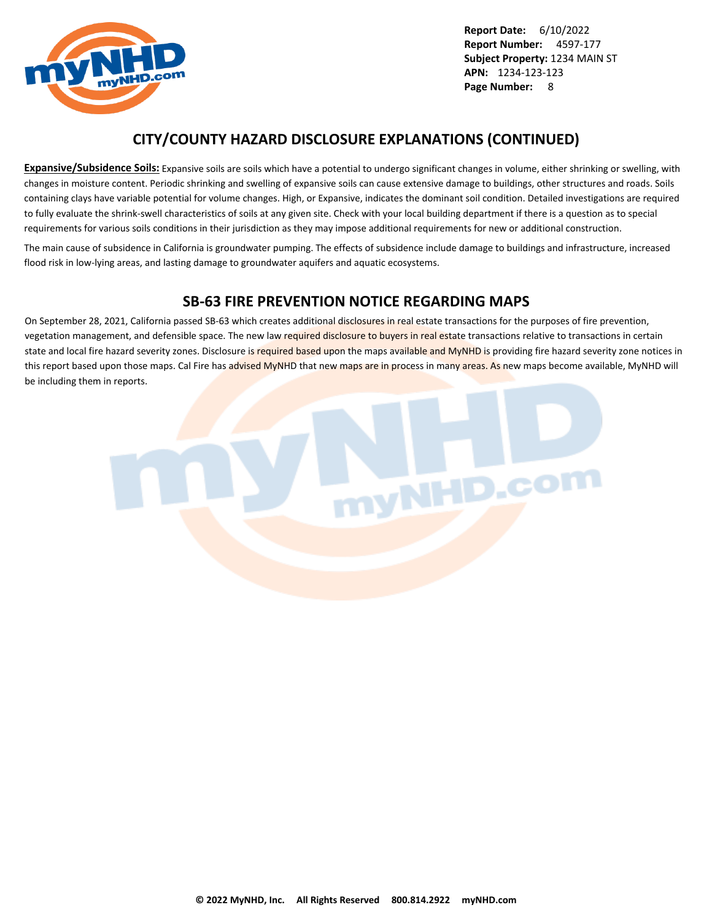

### **CITY/COUNTY HAZARD DISCLOSURE EXPLANATIONS (CONTINUED)**

**Expansive/Subsidence Soils:** Expansive soils are soils which have a potential to undergo significant changes in volume, either shrinking or swelling, with changes in moisture content. Periodic shrinking and swelling of expansive soils can cause extensive damage to buildings, other structures and roads. Soils containing clays have variable potential for volume changes. High, or Expansive, indicates the dominant soil condition. Detailed investigations are required to fully evaluate the shrink-swell characteristics of soils at any given site. Check with your local building department if there is a question as to special requirements for various soils conditions in their jurisdiction as they may impose additional requirements for new or additional construction.

The main cause of subsidence in California is groundwater pumping. The effects of subsidence include damage to buildings and infrastructure, increased flood risk in low-lying areas, and lasting damage to groundwater aquifers and aquatic ecosystems.

### **SB-63 FIRE PREVENTION NOTICE REGARDING MAPS**

On September 28, 2021, California passed SB-63 which creates additional disclosures in real estate transactions for the purposes of fire prevention, vegetation management, and defensible space. The new law required disclosure to buyers in real estate transactions relative to transactions in certain state and local fire hazard severity zones. Disclosure is required based upon the maps available and MyNHD is providing fire hazard severity zone notices in this report based upon those maps. Cal Fire has advised MyNHD that new maps are in process in many areas. As new maps become available, MyNHD will be including them in reports.

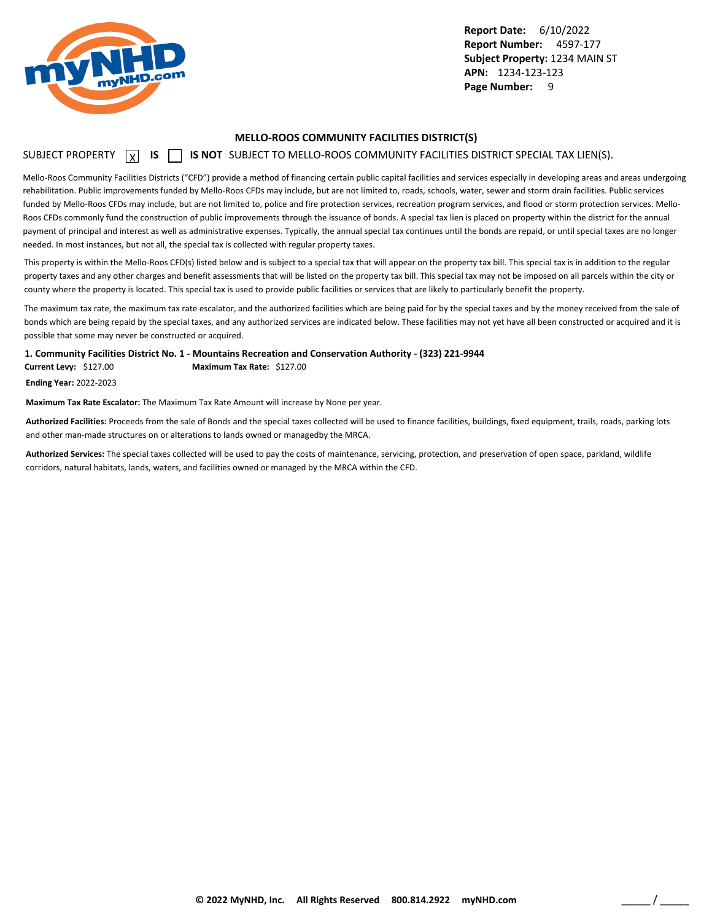<span id="page-10-0"></span>

#### **MELLO-ROOS COMMUNITY FACILITIES DISTRICT(S)**

### SUBJECT PROPERTY **X** IS **S** IS NOT SUBJECT TO MELLO-ROOS COMMUNITY FACILITIES DISTRICT SPECIAL TAX LIEN(S).

Mello-Roos Community Facilities Districts ("CFD") provide a method of financing certain public capital facilities and services especially in developing areas and areas undergoing rehabilitation. Public improvements funded by Mello-Roos CFDs may include, but are not limited to, roads, schools, water, sewer and storm drain facilities. Public services funded by Mello-Roos CFDs may include, but are not limited to, police and fire protection services, recreation program services, and flood or storm protection services. Mello-Roos CFDs commonly fund the construction of public improvements through the issuance of bonds. A special tax lien is placed on property within the district for the annual payment of principal and interest as well as administrative expenses. Typically, the annual special tax continues until the bonds are repaid, or until special taxes are no longer needed. In most instances, but not all, the special tax is collected with regular property taxes.

This property is within the Mello-Roos CFD(s) listed below and is subject to a special tax that will appear on the property tax bill. This special tax is in addition to the regular property taxes and any other charges and benefit assessments that will be listed on the property tax bill. This special tax may not be imposed on all parcels within the city or county where the property is located. This special tax is used to provide public facilities or services that are likely to particularly benefit the property.

The maximum tax rate, the maximum tax rate escalator, and the authorized facilities which are being paid for by the special taxes and by the money received from the sale of bonds which are being repaid by the special taxes, and any authorized services are indicated below. These facilities may not yet have all been constructed or acquired and it is possible that some may never be constructed or acquired.

**1. Community Facilities District No. 1 - Mountains Recreation and Conservation Authority - (323) 221-9944**

**Current Levy:** \$127.00 **Maximum Tax Rate:** \$127.00

**Ending Year:** 2022-2023

**Maximum Tax Rate Escalator:** The Maximum Tax Rate Amount will increase by None per year.

**Authorized Facilities:** Proceeds from the sale of Bonds and the special taxes collected will be used to finance facilities, buildings, fixed equipment, trails, roads, parking lots and other man-made structures on or alterations to lands owned or managedby the MRCA.

**Authorized Services:** The special taxes collected will be used to pay the costs of maintenance, servicing, protection, and preservation of open space, parkland, wildlife corridors, natural habitats, lands, waters, and facilities owned or managed by the MRCA within the CFD.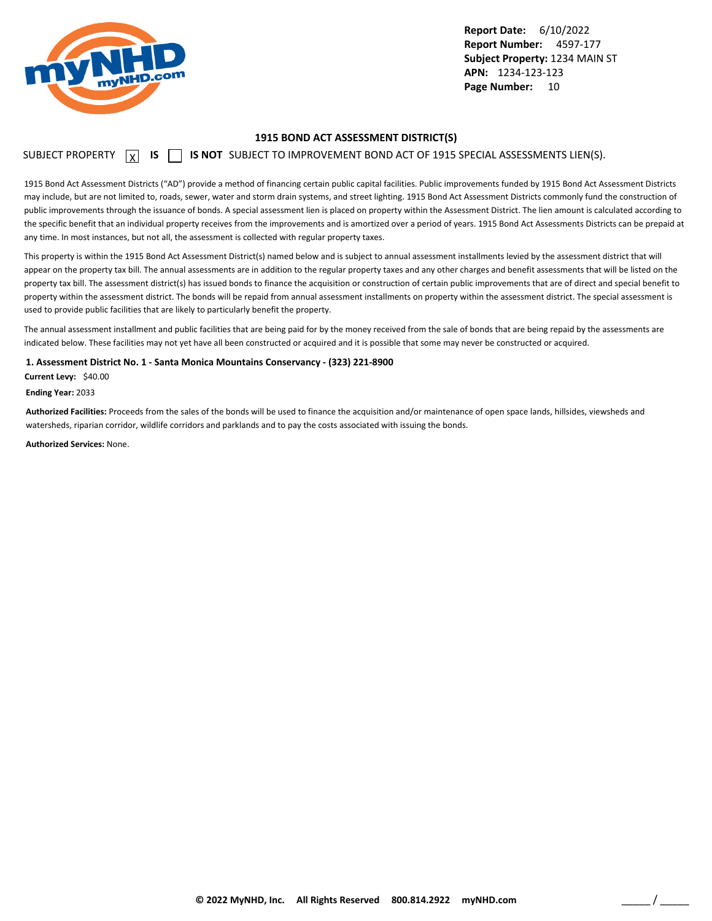<span id="page-11-0"></span>

#### **1915 BOND ACT ASSESSMENT DISTRICT(S)**

### SUBJECT PROPERTY  $\boxed{\chi}$  **IS**  $\boxed{\phantom{\chi}}$  **IS NOT** SUBJECT TO IMPROVEMENT BOND ACT OF 1915 SPECIAL ASSESSMENTS LIEN(S).

1915 Bond Act Assessment Districts ("AD") provide a method of financing certain public capital facilities. Public improvements funded by 1915 Bond Act Assessment Districts may include, but are not limited to, roads, sewer, water and storm drain systems, and street lighting. 1915 Bond Act Assessment Districts commonly fund the construction of public improvements through the issuance of bonds. A special assessment lien is placed on property within the Assessment District. The lien amount is calculated according to the specific benefit that an individual property receives from the improvements and is amortized over a period of years. 1915 Bond Act Assessments Districts can be prepaid at any time. In most instances, but not all, the assessment is collected with regular property taxes.

This property is within the 1915 Bond Act Assessment District(s) named below and is subject to annual assessment installments levied by the assessment district that will appear on the property tax bill. The annual assessments are in addition to the regular property taxes and any other charges and benefit assessments that will be listed on the property tax bill. The assessment district(s) has issued bonds to finance the acquisition or construction of certain public improvements that are of direct and special benefit to property within the assessment district. The bonds will be repaid from annual assessment installments on property within the assessment district. The special assessment is used to provide public facilities that are likely to particularly benefit the property.

The annual assessment installment and public facilities that are being paid for by the money received from the sale of bonds that are being repaid by the assessments are indicated below. These facilities may not yet have all been constructed or acquired and it is possible that some may never be constructed or acquired.

**1. Assessment District No. 1 - Santa Monica Mountains Conservancy - (323) 221-8900**

**Current Levy:** \$40.00

**Ending Year:** 2033

**Authorized Facilities:** Proceeds from the sales of the bonds will be used to finance the acquisition and/or maintenance of open space lands, hillsides, viewsheds and watersheds, riparian corridor, wildlife corridors and parklands and to pay the costs associated with issuing the bonds.

**Authorized Services:** None.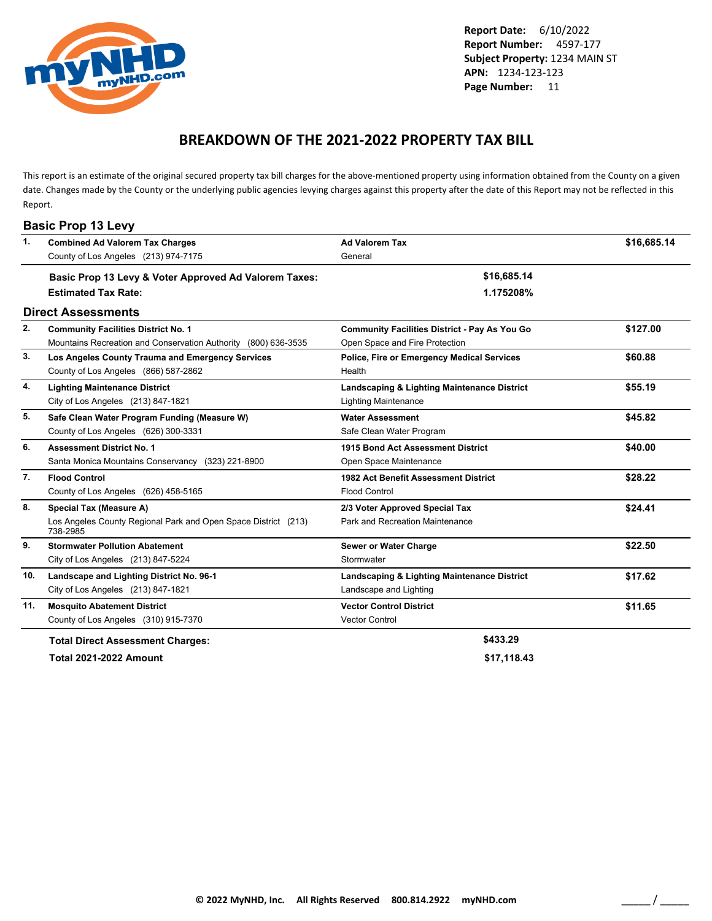<span id="page-12-0"></span>

### **BREAKDOWN OF THE 2021-2022 PROPERTY TAX BILL**

This report is an estimate of the original secured property tax bill charges for the above-mentioned property using information obtained from the County on a given date. Changes made by the County or the underlying public agencies levying charges against this property after the date of this Report may not be reflected in this Report.

| 1.  | <b>Combined Ad Valorem Tax Charges</b>                                     | <b>Ad Valorem Tax</b>                                | \$16,685.14 |
|-----|----------------------------------------------------------------------------|------------------------------------------------------|-------------|
|     | County of Los Angeles (213) 974-7175                                       | General                                              |             |
|     |                                                                            |                                                      |             |
|     | Basic Prop 13 Levy & Voter Approved Ad Valorem Taxes:                      | \$16,685.14                                          |             |
|     | <b>Estimated Tax Rate:</b>                                                 | 1.175208%                                            |             |
|     | <b>Direct Assessments</b>                                                  |                                                      |             |
| 2.  | <b>Community Facilities District No. 1</b>                                 | <b>Community Facilities District - Pay As You Go</b> | \$127.00    |
|     | Mountains Recreation and Conservation Authority<br>(800) 636-3535          | Open Space and Fire Protection                       |             |
| 3.  | Los Angeles County Trauma and Emergency Services                           | Police, Fire or Emergency Medical Services           | \$60.88     |
|     | County of Los Angeles (866) 587-2862                                       | Health                                               |             |
| 4.  | <b>Lighting Maintenance District</b>                                       | Landscaping & Lighting Maintenance District          | \$55.19     |
|     | City of Los Angeles (213) 847-1821                                         | <b>Lighting Maintenance</b>                          |             |
| 5.  | Safe Clean Water Program Funding (Measure W)                               | <b>Water Assessment</b>                              | \$45.82     |
|     | County of Los Angeles (626) 300-3331                                       | Safe Clean Water Program                             |             |
| 6.  | <b>Assessment District No. 1</b>                                           | 1915 Bond Act Assessment District                    | \$40.00     |
|     | Santa Monica Mountains Conservancy (323) 221-8900                          | Open Space Maintenance                               |             |
| 7.  | <b>Flood Control</b>                                                       | 1982 Act Benefit Assessment District                 | \$28.22     |
|     | County of Los Angeles (626) 458-5165                                       | <b>Flood Control</b>                                 |             |
| 8.  | <b>Special Tax (Measure A)</b>                                             | 2/3 Voter Approved Special Tax                       | \$24.41     |
|     | Los Angeles County Regional Park and Open Space District (213)<br>738-2985 | Park and Recreation Maintenance                      |             |
| 9.  | <b>Stormwater Pollution Abatement</b>                                      | Sewer or Water Charge                                | \$22.50     |
|     | City of Los Angeles (213) 847-5224                                         | Stormwater                                           |             |
| 10. | Landscape and Lighting District No. 96-1                                   | Landscaping & Lighting Maintenance District          | \$17.62     |
|     | City of Los Angeles (213) 847-1821                                         | Landscape and Lighting                               |             |
| 11. | <b>Mosquito Abatement District</b>                                         | <b>Vector Control District</b>                       | \$11.65     |
|     | County of Los Angeles (310) 915-7370                                       | <b>Vector Control</b>                                |             |
|     | <b>Total Direct Assessment Charges:</b>                                    | \$433.29                                             |             |

**Total 2021-2022 Amount \$17,118.43**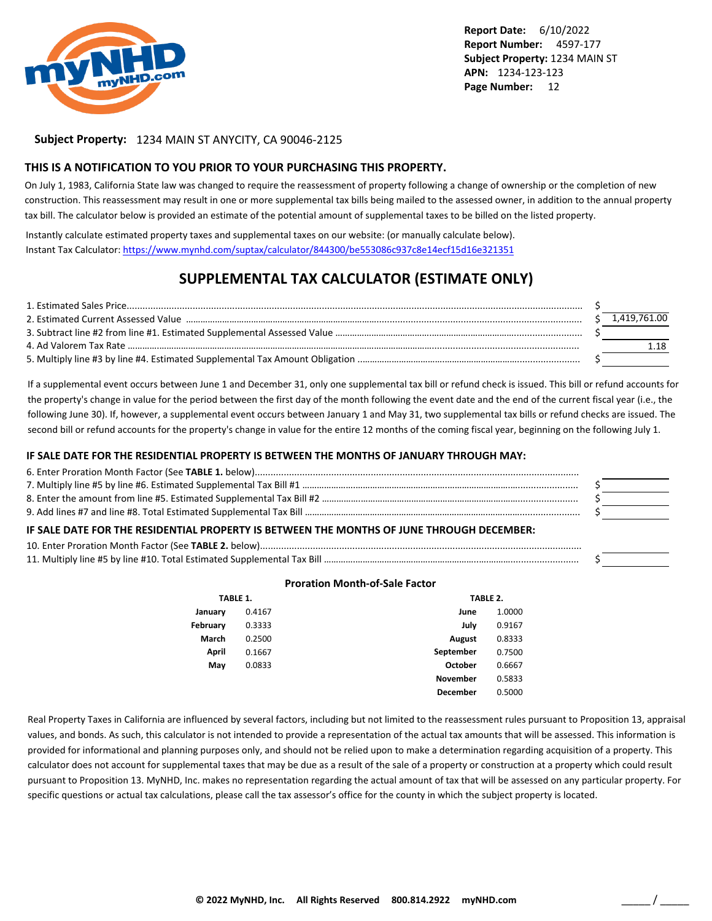

### **Subject Property:** 1234 MAIN ST ANYCITY, CA 90046-2125

#### **THIS IS A NOTIFICATION TO YOU PRIOR TO YOUR PURCHASING THIS PROPERTY.**

On July 1, 1983, California State law was changed to require the reassessment of property following a change of ownership or the completion of new construction. This reassessment may result in one or more supplemental tax bills being mailed to the assessed owner, in addition to the annual property tax bill. The calculator below is provided an estimate of the potential amount of supplemental taxes to be billed on the listed property.

Instantly calculate estimated property taxes and supplemental taxes on our website: (or manually calculate below). Instant Tax Calculator: <https://www.mynhd.com/suptax/calculator/844300/be553086c937c8e14ecf15d16e321351>

### **SUPPLEMENTAL TAX CALCULATOR (ESTIMATE ONLY)**

|  | 1.419.761.00 |
|--|--------------|
|  |              |
|  |              |
|  |              |

If a supplemental event occurs between June 1 and December 31, only one supplemental tax bill or refund check is issued. This bill or refund accounts for the property's change in value for the period between the first day of the month following the event date and the end of the current fiscal year (i.e., the following June 30). If, however, a supplemental event occurs between January 1 and May 31, two supplemental tax bills or refund checks are issued. The second bill or refund accounts for the property's change in value for the entire 12 months of the coming fiscal year, beginning on the following July 1.

#### **IF SALE DATE FOR THE RESIDENTIAL PROPERTY IS BETWEEN THE MONTHS OF JANUARY THROUGH MAY:**

#### **Proration Month-of-Sale Factor**

|          | TABLE 1. |                 | TABLE 2. |
|----------|----------|-----------------|----------|
| January  | 0.4167   | June            | 1.0000   |
| February | 0.3333   | July            | 0.9167   |
| March    | 0.2500   | <b>August</b>   | 0.8333   |
| April    | 0.1667   | September       | 0.7500   |
| May      | 0.0833   | October         | 0.6667   |
|          |          | <b>November</b> | 0.5833   |
|          |          | December        | 0.5000   |

Real Property Taxes in California are influenced by several factors, including but not limited to the reassessment rules pursuant to Proposition 13, appraisal values, and bonds. As such, this calculator is not intended to provide a representation of the actual tax amounts that will be assessed. This information is provided for informational and planning purposes only, and should not be relied upon to make a determination regarding acquisition of a property. This calculator does not account for supplemental taxes that may be due as a result of the sale of a property or construction at a property which could result pursuant to Proposition 13. MyNHD, Inc. makes no representation regarding the actual amount of tax that will be assessed on any particular property. For specific questions or actual tax calculations, please call the tax assessor's office for the county in which the subject property is located.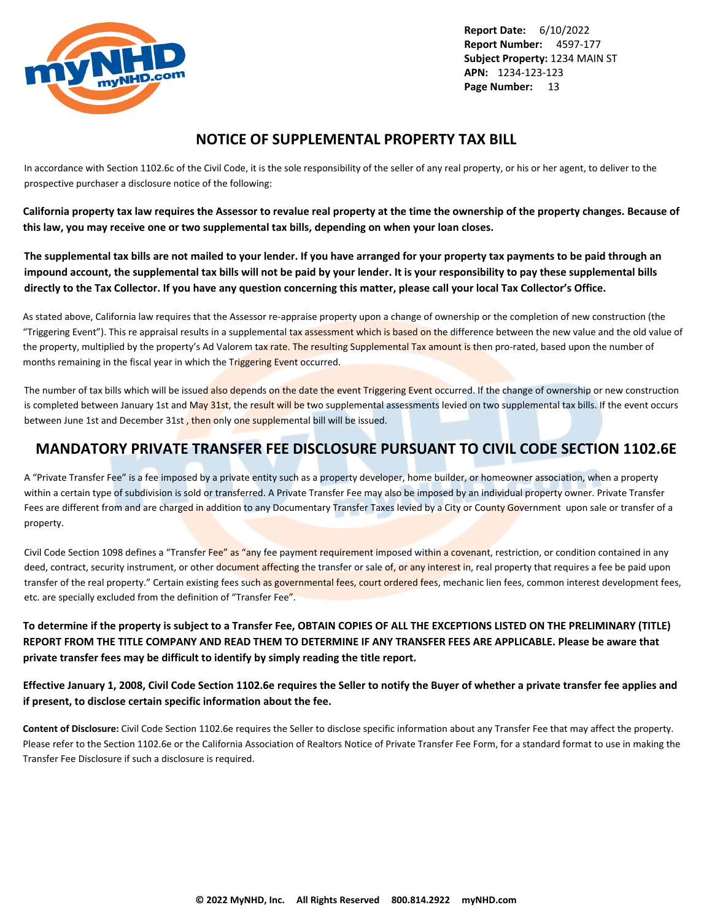<span id="page-14-0"></span>

### **NOTICE OF SUPPLEMENTAL PROPERTY TAX BILL**

In accordance with Section 1102.6c of the Civil Code, it is the sole responsibility of the seller of any real property, or his or her agent, to deliver to the prospective purchaser a disclosure notice of the following:

**California property tax law requires the Assessor to revalue real property at the time the ownership of the property changes. Because of this law, you may receive one or two supplemental tax bills, depending on when your loan closes.**

**The supplemental tax bills are not mailed to your lender. If you have arranged for your property tax payments to be paid through an impound account, the supplemental tax bills will not be paid by your lender. It is your responsibility to pay these supplemental bills directly to the Tax Collector. If you have any question concerning this matter, please call your local Tax Collector's Office.**

As stated above, California law requires that the Assessor re-appraise property upon a change of ownership or the completion of new construction (the "Triggering Event"). This re appraisal results in a supplemental tax assessment which is based on the difference between the new value and the old value of the property, multiplied by the property's Ad Valorem tax rate. The resulting Supplemental Tax amount is then pro-rated, based upon the number of months remaining in the fiscal year in which the Triggering Event occurred.

The number of tax bills which will be issued also depends on the date the event Triggering Event occurred. If the change of ownership or new construction is completed between January 1st and May 31st, the result will be two supplemental assessments levied on two supplemental tax bills. If the event occurs between June 1st and December 31st, then only one supplemental bill will be issued.

### **MANDATORY PRIVATE TRANSFER FEE DISCLOSURE PURSUANT TO CIVIL CODE SECTION 1102.6E**

A "Private Transfer Fee" is a fee imposed by a private entity such as a property developer, home builder, or homeowner association, when a property within a certain type of subdivision is sold or transferred. A Private Transfer Fee may also be imposed by an individual property owner. Private Transfer Fees are different from and are charged in addition to any Documentary Transfer Taxes levied by a City or County Government upon sale or transfer of a property.

Civil Code Section 1098 defines a "Transfer Fee" as "any fee payment requirement imposed within a covenant, restriction, or condition contained in any deed, contract, security instrument, or other document affecting the transfer or sale of, or any interest in, real property that requires a fee be paid upon transfer of the real property." Certain existing fees such as governmental fees, court ordered fees, mechanic lien fees, common interest development fees, etc. are specially excluded from the definition of "Transfer Fee".

**To determine if the property is subject to a Transfer Fee, OBTAIN COPIES OF ALL THE EXCEPTIONS LISTED ON THE PRELIMINARY (TITLE) REPORT FROM THE TITLE COMPANY AND READ THEM TO DETERMINE IF ANY TRANSFER FEES ARE APPLICABLE. Please be aware that private transfer fees may be difficult to identify by simply reading the title report.**

**Effective January 1, 2008, Civil Code Section 1102.6e requires the Seller to notify the Buyer of whether a private transfer fee applies and if present, to disclose certain specific information about the fee.**

**Content of Disclosure:** Civil Code Section 1102.6e requires the Seller to disclose specific information about any Transfer Fee that may affect the property. Please refer to the Section 1102.6e or the California Association of Realtors Notice of Private Transfer Fee Form, for a standard format to use in making the Transfer Fee Disclosure if such a disclosure is required.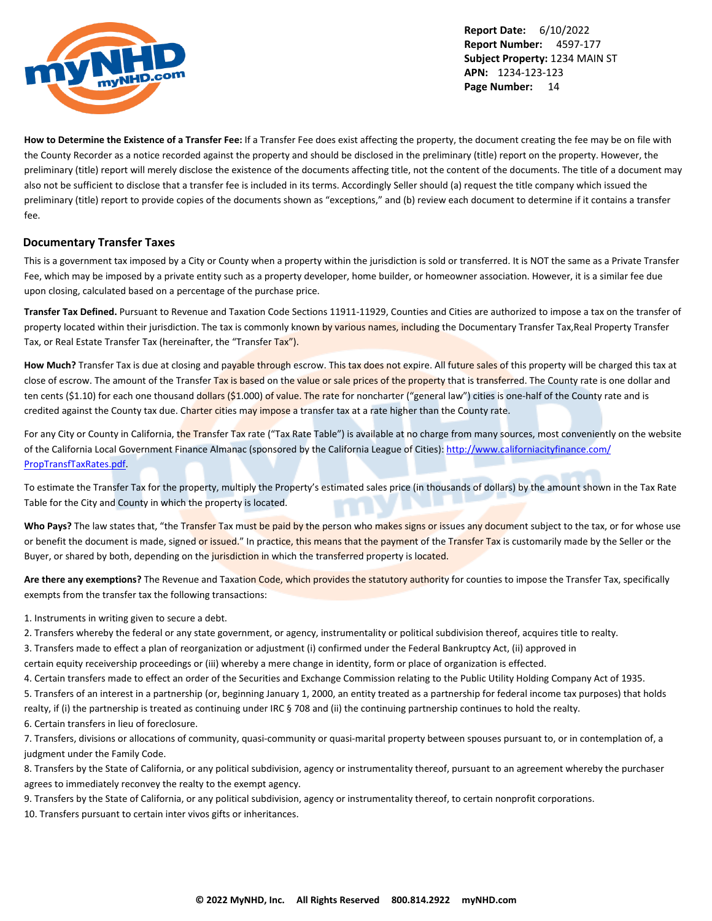

**How to Determine the Existence of a Transfer Fee:** If a Transfer Fee does exist affecting the property, the document creating the fee may be on file with the County Recorder as a notice recorded against the property and should be disclosed in the preliminary (title) report on the property. However, the preliminary (title) report will merely disclose the existence of the documents affecting title, not the content of the documents. The title of a document may also not be sufficient to disclose that a transfer fee is included in its terms. Accordingly Seller should (a) request the title company which issued the preliminary (title) report to provide copies of the documents shown as "exceptions," and (b) review each document to determine if it contains a transfer fee.

### **Documentary Transfer Taxes**

This is a government tax imposed by a City or County when a property within the jurisdiction is sold or transferred. It is NOT the same as a Private Transfer Fee, which may be imposed by a private entity such as a property developer, home builder, or homeowner association. However, it is a similar fee due upon closing, calculated based on a percentage of the purchase price.

**Transfer Tax Defined.** Pursuant to Revenue and Taxation Code Sections 11911-11929, Counties and Cities are authorized to impose a tax on the transfer of property located within their jurisdiction. The tax is commonly known by various names, including the Documentary Transfer Tax,Real Property Transfer Tax, or Real Estate Transfer Tax (hereinafter, the "Transfer Tax").

How Much? Transfer Tax is due at closing and payable through escrow. This tax does not expire. All future sales of this property will be charged this tax at close of escrow. The amount of the Transfer Tax is based on the value or sale prices of the property that is transferred. The County rate is one dollar and ten cents (\$1.10) for each one thousand dollars (\$1.000) of value. The rate for noncharter ("general law") cities is one-half of the County rate and is credited against the County tax due. Charter cities may impose a transfer tax at a rate higher than the County rate.

For any City or County in California, the Transfer Tax rate ("Tax Rate Table") is available at no charge from many sources, most conveniently on the website of the California Local Government Finance Almanac (sponsored by the California League of Cities): [http://www.californiacityfinance.com/](http://www.californiacityfinance.com/PropTransfTaxRates.pdf) [PropTransfTaxRates.pdf](http://www.californiacityfinance.com/PropTransfTaxRates.pdf).

To estimate the Transfer Tax for the property, multiply the Property's estimated sales price (in thousands of dollars) by the amount shown in the Tax Rate Table for the City and County in which the property is located.

Who Pays? The law states that, "the Transfer Tax must be paid by the person who makes signs or issues any document subject to the tax, or for whose use or benefit the document is made, signed or issued." In practice, this means that the payment of the Transfer Tax is customarily made by the Seller or the Buyer, or shared by both, depending on the jurisdiction in which the transferred property is located.

**Are there any exemptions?** The Revenue and Taxation Code, which provides the statutory authority for counties to impose the Transfer Tax, specifically exempts from the transfer tax the following transactions:

1. Instruments in writing given to secure a debt.

2. Transfers whereby the federal or any state government, or agency, instrumentality or political subdivision thereof, acquires title to realty.

3. Transfers made to effect a plan of reorganization or adjustment (i) confirmed under the Federal Bankruptcy Act, (ii) approved in

certain equity receivership proceedings or (iii) whereby a mere change in identity, form or place of organization is effected.

4. Certain transfers made to effect an order of the Securities and Exchange Commission relating to the Public Utility Holding Company Act of 1935.

5. Transfers of an interest in a partnership (or, beginning January 1, 2000, an entity treated as a partnership for federal income tax purposes) that holds realty, if (i) the partnership is treated as continuing under IRC § 708 and (ii) the continuing partnership continues to hold the realty.

6. Certain transfers in lieu of foreclosure.

7. Transfers, divisions or allocations of community, quasi-community or quasi-marital property between spouses pursuant to, or in contemplation of, a judgment under the Family Code.

8. Transfers by the State of California, or any political subdivision, agency or instrumentality thereof, pursuant to an agreement whereby the purchaser agrees to immediately reconvey the realty to the exempt agency.

9. Transfers by the State of California, or any political subdivision, agency or instrumentality thereof, to certain nonprofit corporations.

10. Transfers pursuant to certain inter vivos gifts or inheritances.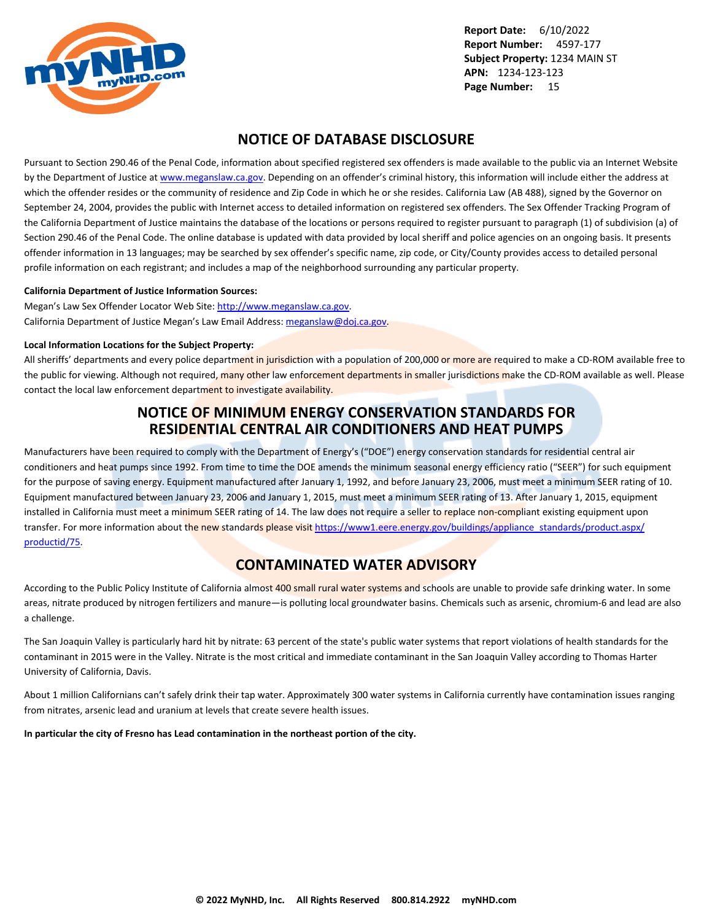<span id="page-16-0"></span>

### **NOTICE OF DATABASE DISCLOSURE**

Pursuant to Section 290.46 of the Penal Code, information about specified registered sex offenders is made available to the public via an Internet Website by the Department of Justice at <www.meganslaw.ca.gov>. Depending on an offender's criminal history, this information will include either the address at which the offender resides or the community of residence and Zip Code in which he or she resides. California Law (AB 488), signed by the Governor on September 24, 2004, provides the public with Internet access to detailed information on registered sex offenders. The Sex Offender Tracking Program of the California Department of Justice maintains the database of the locations or persons required to register pursuant to paragraph (1) of subdivision (a) of Section 290.46 of the Penal Code. The online database is updated with data provided by local sheriff and police agencies on an ongoing basis. It presents offender information in 13 languages; may be searched by sex offender's specific name, zip code, or City/County provides access to detailed personal profile information on each registrant; and includes a map of the neighborhood surrounding any particular property.

#### **California Department of Justice Information Sources:**

Megan's Law Sex Offender Locator Web Site: <http://www.meganslaw.ca.gov>. California Department of Justice Megan's Law Email Address: [meganslaw@doj.ca.gov](mailto:meganslaw@doj.ca.gov).

#### **Local Information Locations for the Subject Property:**

All sheriffs' departments and every police department in jurisdiction with a population of 200,000 or more are required to make a CD-ROM available free to the public for viewing. Although not required, many other law enforcement departments in smaller jurisdictions make the CD-ROM available as well. Please contact the local law enforcement department to investigate availability.

### **NOTICE OF MINIMUM ENERGY CONSERVATION STANDARDS FOR RESIDENTIAL CENTRAL AIR CONDITIONERS AND HEAT PUMPS**

Manufacturers have been required to comply with the Department of Energy's ("DOE") energy conservation standards for residential central air conditioners and heat pumps since 1992. From time to time the DOE amends the minimum seasonal energy efficiency ratio ("SEER") for such equipment for the purpose of saving energy. Equipment manufactured after January 1, 1992, and before January 23, 2006, must meet a minimum SEER rating of 10. Equipment manufactured between January 23, 2006 and January 1, 2015, must meet a minimum SEER rating of 13. After January 1, 2015, equipment installed in California must meet a minimum SEER rating of 14. The law does not require a seller to replace non-compliant existing equipment upon transfer. For more information about the new standards please visit [https://www1.eere.energy.gov/buildings/appliance\\_standards/product.aspx/](https://www1.eere.energy.gov/buildings/appliance_standards/product.aspx/productid/75) [productid/75.](https://www1.eere.energy.gov/buildings/appliance_standards/product.aspx/productid/75)

### **CONTAMINATED WATER ADVISORY**

According to the Public Policy Institute of California almost 400 small rural water systems and schools are unable to provide safe drinking water. In some areas, nitrate produced by nitrogen fertilizers and manure—is polluting local groundwater basins. Chemicals such as arsenic, chromium-6 and lead are also a challenge.

The San Joaquin Valley is particularly hard hit by nitrate: 63 percent of the state's public water systems that report violations of health standards for the contaminant in 2015 were in the Valley. Nitrate is the most critical and immediate contaminant in the San Joaquin Valley according to Thomas Harter University of California, Davis.

About 1 million Californians can't safely drink their tap water. Approximately 300 water systems in California currently have contamination issues ranging from nitrates, arsenic lead and uranium at levels that create severe health issues.

**In particular the city of Fresno has Lead contamination in the northeast portion of the city.**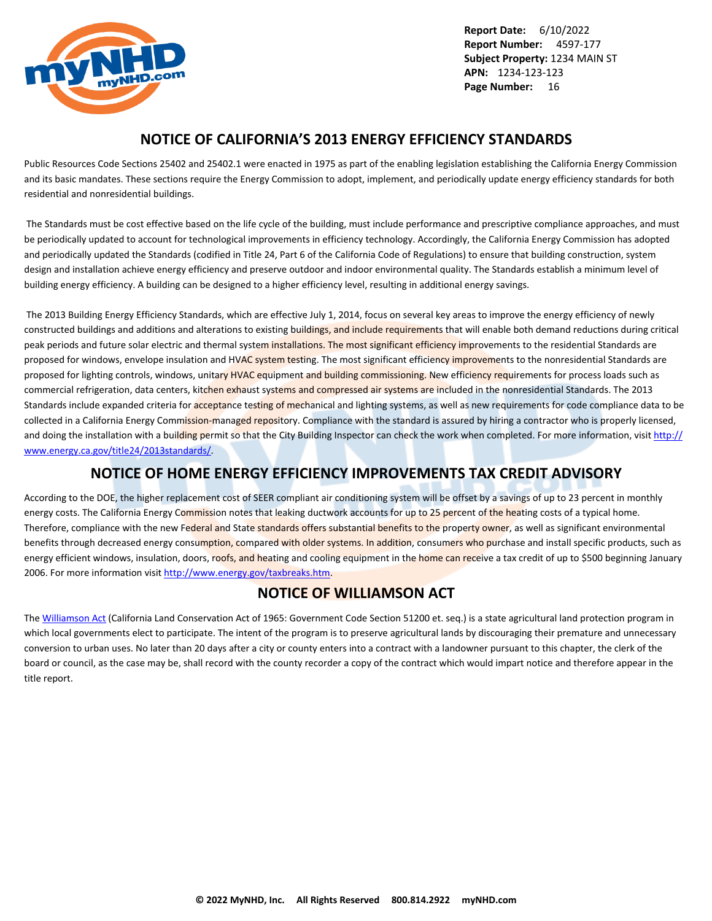<span id="page-17-0"></span>

### **NOTICE OF CALIFORNIA'S 2013 ENERGY EFFICIENCY STANDARDS**

Public Resources Code Sections 25402 and 25402.1 were enacted in 1975 as part of the enabling legislation establishing the California Energy Commission and its basic mandates. These sections require the Energy Commission to adopt, implement, and periodically update energy efficiency standards for both residential and nonresidential buildings.

 The Standards must be cost effective based on the life cycle of the building, must include performance and prescriptive compliance approaches, and must be periodically updated to account for technological improvements in efficiency technology. Accordingly, the California Energy Commission has adopted and periodically updated the Standards (codified in Title 24, Part 6 of the California Code of Regulations) to ensure that building construction, system design and installation achieve energy efficiency and preserve outdoor and indoor environmental quality. The Standards establish a minimum level of building energy efficiency. A building can be designed to a higher efficiency level, resulting in additional energy savings.

 The 2013 Building Energy Efficiency Standards, which are effective July 1, 2014, focus on several key areas to improve the energy efficiency of newly constructed buildings and additions and alterations to existing buildings, and include requirements that will enable both demand reductions during critical peak periods and future solar electric and thermal system installations. The most significant efficiency improvements to the residential Standards are proposed for windows, envelope insulation and HVAC system testing. The most significant efficiency improvements to the nonresidential Standards are proposed for lighting controls, windows, unitary HVAC equipment and building commissioning. New efficiency requirements for process loads such as commercial refrigeration, data centers, kitchen exhaust systems and compressed air systems are included in the nonresidential Standards. The 2013 Standards include expanded criteria for acceptance testing of mechanical and lighting systems, as well as new requirements for code compliance data to be collected in a California Energy Commission-managed repository. Compliance with the standard is assured by hiring a contractor who is properly licensed, and doing the installation with a building permit so that the City Building Inspector can check the work when completed. For more information, visit [http://](http://www.energy.ca.gov/title24/2013standards/) [www.energy.ca.gov/title24/2013standards/](http://www.energy.ca.gov/title24/2013standards/).

### **NOTICE OF HOME ENERGY EFFICIENCY IMPROVEMENTS TAX CREDIT ADVISORY**

According to the DOE, the higher replacement cost of SEER compliant air conditioning system will be offset by a savings of up to 23 percent in monthly energy costs. The California Energy Commission notes that leaking ductwork accounts for up to 25 percent of the heating costs of a typical home. Therefore, compliance with the new Federal and State standards offers substantial benefits to the property owner, as well as significant environmental benefits through decreased energy consumption, compared with older systems. In addition, consumers who purchase and install specific products, such as energy efficient windows, insulation, doors, roofs, and heating and cooling equipment in the home can receive a tax credit of up to \$500 beginning January 2006. For more information visit [http://www.energy.gov/taxbreaks.htm.](http://www.energy.gov/taxbreaks.htm)

### **NOTICE OF WILLIAMSON ACT**

The [Williamson Act](http://www.conservation.ca.gov/dlrp/lca) (California Land Conservation Act of 1965: Government Code Section 51200 et. seq.) is a state agricultural land protection program in which local governments elect to participate. The intent of the program is to preserve agricultural lands by discouraging their premature and unnecessary conversion to urban uses. No later than 20 days after a city or county enters into a contract with a landowner pursuant to this chapter, the clerk of the board or council, as the case may be, shall record with the county recorder a copy of the contract which would impart notice and therefore appear in the title report.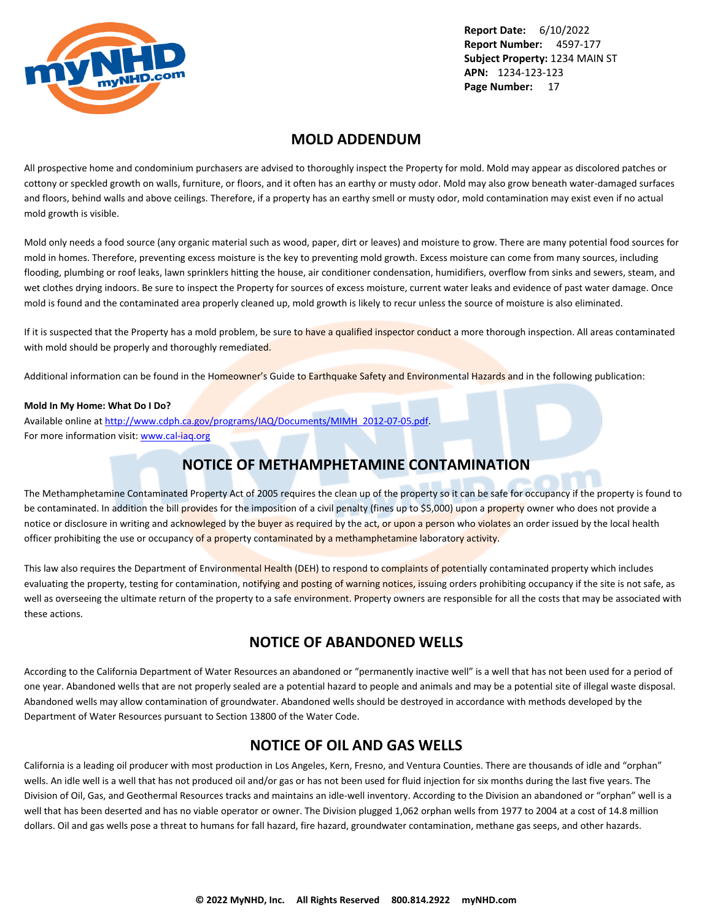<span id="page-18-0"></span>

### **MOLD ADDENDUM**

All prospective home and condominium purchasers are advised to thoroughly inspect the Property for mold. Mold may appear as discolored patches or cottony or speckled growth on walls, furniture, or floors, and it often has an earthy or musty odor. Mold may also grow beneath water-damaged surfaces and floors, behind walls and above ceilings. Therefore, if a property has an earthy smell or musty odor, mold contamination may exist even if no actual mold growth is visible.

Mold only needs a food source (any organic material such as wood, paper, dirt or leaves) and moisture to grow. There are many potential food sources for mold in homes. Therefore, preventing excess moisture is the key to preventing mold growth. Excess moisture can come from many sources, including flooding, plumbing or roof leaks, lawn sprinklers hitting the house, air conditioner condensation, humidifiers, overflow from sinks and sewers, steam, and wet clothes drying indoors. Be sure to inspect the Property for sources of excess moisture, current water leaks and evidence of past water damage. Once mold is found and the contaminated area properly cleaned up, mold growth is likely to recur unless the source of moisture is also eliminated.

If it is suspected that the Property has a mold problem, be sure to have a qualified inspector conduct a more thorough inspection. All areas contaminated with mold should be properly and thoroughly remediated.

Additional information can be found in the Homeowner's Guide to Earthquake Safety and Environmental Hazards and in the following publication:

#### **Mold In My Home: What Do I Do?**

Available online at [http://www.cdph.ca.gov/programs/IAQ/Documents/MIMH\\_2012-07-05.pdf](http://www.cdph.ca.gov/programs/IAQ/Documents/MIMH_2012-07-05.pdf). For more information visit: <www.cal-iaq.org>

### **NOTICE OF METHAMPHETAMINE CONTAMINATION**

The Methamphetamine Contaminated Property Act of 2005 requires the clean up of the property so it can be safe for occupancy if the property is found to be contaminated. In addition the bill provides for the imposition of a civil penalty (fines up to \$5,000) upon a property owner who does not provide a notice or disclosure in writing and acknowleged by the buyer as required by the act, or upon a person who violates an order issued by the local health officer prohibiting the use or occupancy of a property contaminated by a methamphetamine laboratory activity.

This law also requires the Department of Environmental Health (DEH) to respond to complaints of potentially contaminated property which includes evaluating the property, testing for contamination, notifying and posting of warning notices, issuing orders prohibiting occupancy if the site is not safe, as well as overseeing the ultimate return of the property to a safe environment. Property owners are responsible for all the costs that may be associated with these actions.

### **NOTICE OF ABANDONED WELLS**

According to the California Department of Water Resources an abandoned or "permanently inactive well" is a well that has not been used for a period of one year. Abandoned wells that are not properly sealed are a potential hazard to people and animals and may be a potential site of illegal waste disposal. Abandoned wells may allow contamination of groundwater. Abandoned wells should be destroyed in accordance with methods developed by the Department of Water Resources pursuant to Section 13800 of the Water Code.

### **NOTICE OF OIL AND GAS WELLS**

California is a leading oil producer with most production in Los Angeles, Kern, Fresno, and Ventura Counties. There are thousands of idle and "orphan" wells. An idle well is a well that has not produced oil and/or gas or has not been used for fluid injection for six months during the last five years. The Division of Oil, Gas, and Geothermal Resources tracks and maintains an idle-well inventory. According to the Division an abandoned or "orphan" well is a well that has been deserted and has no viable operator or owner. The Division plugged 1,062 orphan wells from 1977 to 2004 at a cost of 14.8 million dollars. Oil and gas wells pose a threat to humans for fall hazard, fire hazard, groundwater contamination, methane gas seeps, and other hazards.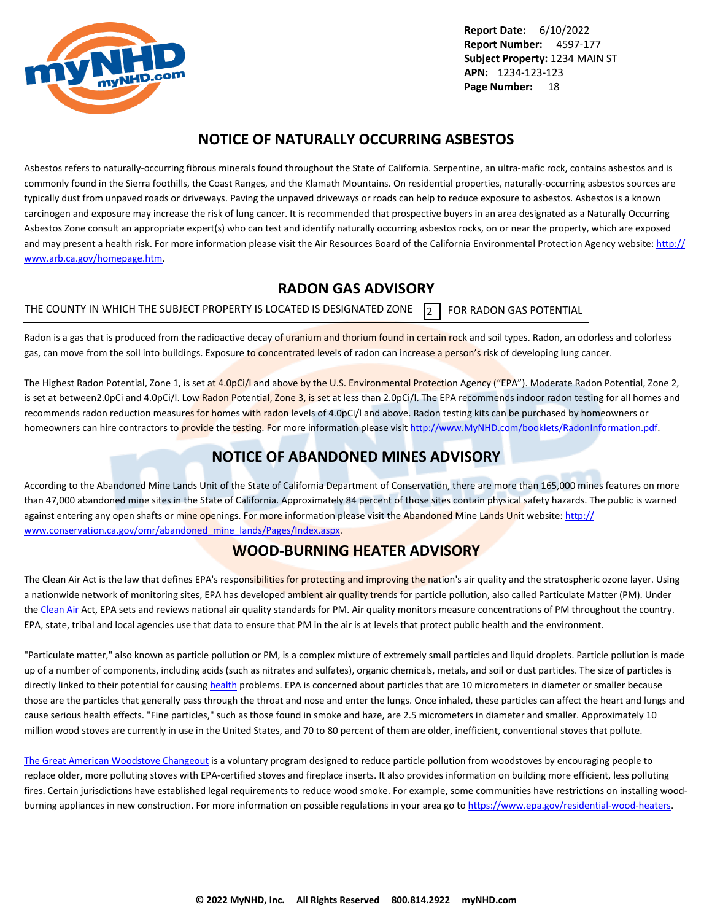<span id="page-19-0"></span>

### **NOTICE OF NATURALLY OCCURRING ASBESTOS**

Asbestos refers to naturally-occurring fibrous minerals found throughout the State of California. Serpentine, an ultra-mafic rock, contains asbestos and is commonly found in the Sierra foothills, the Coast Ranges, and the Klamath Mountains. On residential properties, naturally-occurring asbestos sources are typically dust from unpaved roads or driveways. Paving the unpaved driveways or roads can help to reduce exposure to asbestos. Asbestos is a known carcinogen and exposure may increase the risk of lung cancer. It is recommended that prospective buyers in an area designated as a Naturally Occurring Asbestos Zone consult an appropriate expert(s) who can test and identify naturally occurring asbestos rocks, on or near the property, which are exposed and may present a health risk. For more information please visit the Air Resources Board of the California Environmental Protection Agency website: [http://](http://www.arb.ca.gov/homepage.htm) [www.arb.ca.gov/homepage.htm](http://www.arb.ca.gov/homepage.htm).

### **RADON GAS ADVISORY**

THE COUNTY IN WHICH THE SUBJECT PROPERTY IS LOCATED IS DESIGNATED ZONE  $\overline{2}$  FOR RADON GAS POTENTIAL

Radon is a gas that is produced from the radioactive decay of uranium and thorium found in certain rock and soil types. Radon, an odorless and colorless gas, can move from the soil into buildings. Exposure to concentrated levels of radon can increase a person's risk of developing lung cancer.

The Highest Radon Potential, Zone 1, is set at 4.0pCi/l and above by the U.S. Environmental Protection Agency ("EPA"). Moderate Radon Potential, Zone 2, is set at between2.0pCi and 4.0pCi/l. Low Radon Potential, Zone 3, is set at less than 2.0pCi/l. The EPA recommends indoor radon testing for all homes and recommends radon reduction measures for homes with radon levels of 4.0pCi/l and above. Radon testing kits can be purchased by homeowners or homeowners can hire contractors to provide the testing. For more information please visit <http://www.MyNHD.com/booklets/RadonInformation.pdf>.

### **NOTICE OF ABANDONED MINES ADVISORY**

According to the Abandoned Mine Lands Unit of the State of California Department of Conservation, there are more than 165,000 mines features on more than 47,000 abandoned mine sites in the State of California. Approximately 84 percent of those sites contain physical safety hazards. The public is warned against entering any open shafts or mine openings. For more information please visit the Abandoned Mine Lands Unit website: [http://](http://www.conservation.ca.gov/omr/abandoned_mine_lands/Pages/Index.aspx) [www.conservation.ca.gov/omr/abandoned\\_mine\\_lands/Pages/Index.aspx](http://www.conservation.ca.gov/omr/abandoned_mine_lands/Pages/Index.aspx).

### **WOOD-BURNING HEATER ADVISORY**

The Clean Air Act is the law that defines EPA's responsibilities for protecting and improving the nation's air quality and the stratospheric ozone layer. Using a nationwide network of monitoring sites, EPA has developed ambient air quality trends for particle pollution, also called Particulate Matter (PM). Under the [Clean Air](http://www.epa.gov/airtrends/pm.html) Act, EPA sets and reviews national air quality standards for PM. Air quality monitors measure concentrations of PM throughout the country. EPA, state, tribal and local agencies use that data to ensure that PM in the air is at levels that protect public health and the environment.

"Particulate matter," also known as particle pollution or PM, is a complex mixture of extremely small particles and liquid droplets. Particle pollution is made up of a number of components, including acids (such as nitrates and sulfates), organic chemicals, metals, and soil or dust particles. The size of particles is directly linked to their potential for causing [health](http://www.epa.gov/pm/) problems. EPA is concerned about particles that are 10 micrometers in diameter or smaller because those are the particles that generally pass through the throat and nose and enter the lungs. Once inhaled, these particles can affect the heart and lungs and cause serious health effects. "Fine particles," such as those found in smoke and haze, are 2.5 micrometers in diameter and smaller. Approximately 10 million wood stoves are currently in use in the United States, and 70 to 80 percent of them are older, inefficient, conventional stoves that pollute.

[The Great American Woodstove Changeout](https://archive.epa.gov/bns/web/pdf/woodstovebrochure1_08.pdf) is a voluntary program designed to reduce particle pollution from woodstoves by encouraging people to replace older, more polluting stoves with EPA-certified stoves and fireplace inserts. It also provides information on building more efficient, less polluting fires. Certain jurisdictions have established legal requirements to reduce wood smoke. For example, some communities have restrictions on installing woodburning appliances in new construction. For more information on possible regulations in your area go to<https://www.epa.gov/residential-wood-heaters>.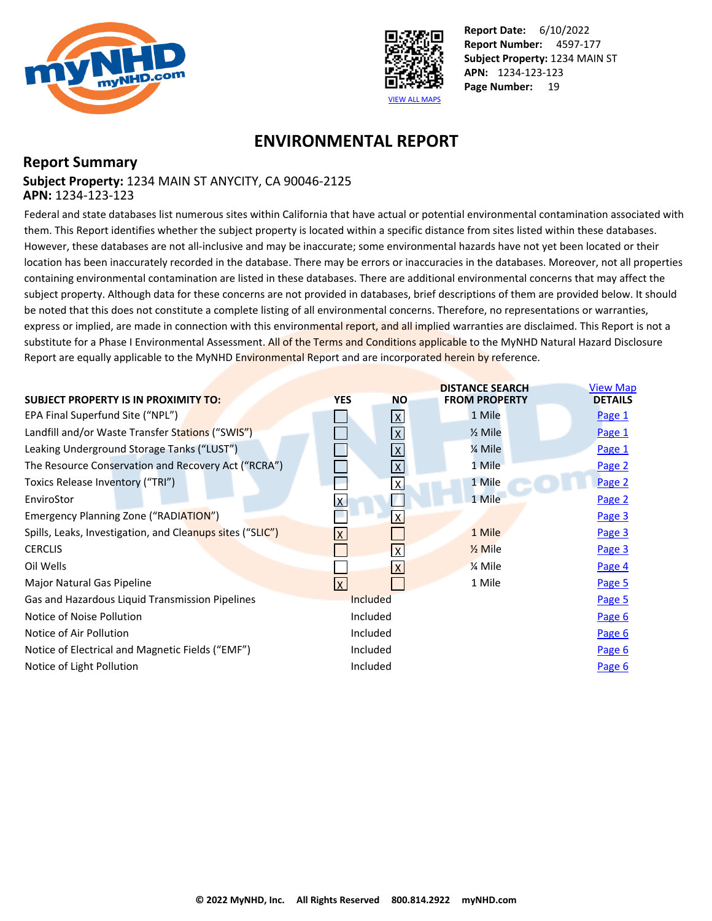<span id="page-20-0"></span>



### **ENVIRONMENTAL REPORT**

### **Report Summary Subject Property:** 1234 MAIN ST ANYCITY, CA 90046-2125 **APN:** 1234-123-123

Federal and state databases list numerous sites within California that have actual or potential environmental contamination associated with them. This Report identifies whether the subject property is located within a specific distance from sites listed within these databases. However, these databases are not all-inclusive and may be inaccurate; some environmental hazards have not yet been located or their location has been inaccurately recorded in the database. There may be errors or inaccuracies in the databases. Moreover, not all properties containing environmental contamination are listed in these databases. There are additional environmental concerns that may affect the subject property. Although data for these concerns are not provided in databases, brief descriptions of them are provided below. It should be noted that this does not constitute a complete listing of all environmental concerns. Therefore, no representations or warranties, express or implied, are made in connection with this environmental report, and all implied warranties are disclaimed. This Report is not a substitute for a Phase I Environmental Assessment. All of the Terms and Conditions applicable to the MyNHD Natural Hazard Disclosure Report are equally applicable to the MyNHD Environmental Report and are incorporated herein by reference.

|                                                           |                         |                         | <b>DISTANCE SEARCH</b> | <b>View Map</b> |
|-----------------------------------------------------------|-------------------------|-------------------------|------------------------|-----------------|
| <b>SUBJECT PROPERTY IS IN PROXIMITY TO:</b>               | <b>YES</b>              | <b>NO</b>               | <b>FROM PROPERTY</b>   | <b>DETAILS</b>  |
| EPA Final Superfund Site ("NPL")                          |                         | $\mathsf{X}$            | 1 Mile                 | Page 1          |
| Landfill and/or Waste Transfer Stations ("SWIS")          |                         | $\mathsf{X}$            | $\frac{1}{2}$ Mile     | Page 1          |
| Leaking Underground Storage Tanks ("LUST")                |                         | X                       | % Mile                 | Page 1          |
| The Resource Conservation and Recovery Act ("RCRA")       |                         | $\mathsf{X}$            | 1 Mile                 | Page 2          |
| Toxics Release Inventory ("TRI")                          |                         | $\mathsf{X}$            | 1 Mile                 | Page 2          |
| EnviroStor                                                | $\mathsf{\overline{X}}$ |                         | 1 Mile                 | Page 2          |
| Emergency Planning Zone ("RADIATION")                     |                         | $\mathsf{x}$            |                        | Page 3          |
| Spills, Leaks, Investigation, and Cleanups sites ("SLIC") | lx.                     |                         | 1 Mile                 | Page 3          |
| <b>CERCLIS</b>                                            |                         | $\overline{\mathsf{x}}$ | $\frac{1}{2}$ Mile     | Page 3          |
| Oil Wells                                                 |                         | $\mathsf{X}$            | 1⁄4 Mile               | Page 4          |
| Major Natural Gas Pipeline                                | lx.                     |                         | 1 Mile                 | Page 5          |
| Gas and Hazardous Liquid Transmission Pipelines           |                         | Included                |                        | Page 5          |
| Notice of Noise Pollution                                 |                         | Included                |                        | Page 6          |
| Notice of Air Pollution                                   |                         | Included                |                        | Page 6          |
| Notice of Electrical and Magnetic Fields ("EMF")          |                         | Included                |                        | Page 6          |
| Notice of Light Pollution                                 |                         | Included                |                        | Page 6          |
|                                                           |                         |                         |                        |                 |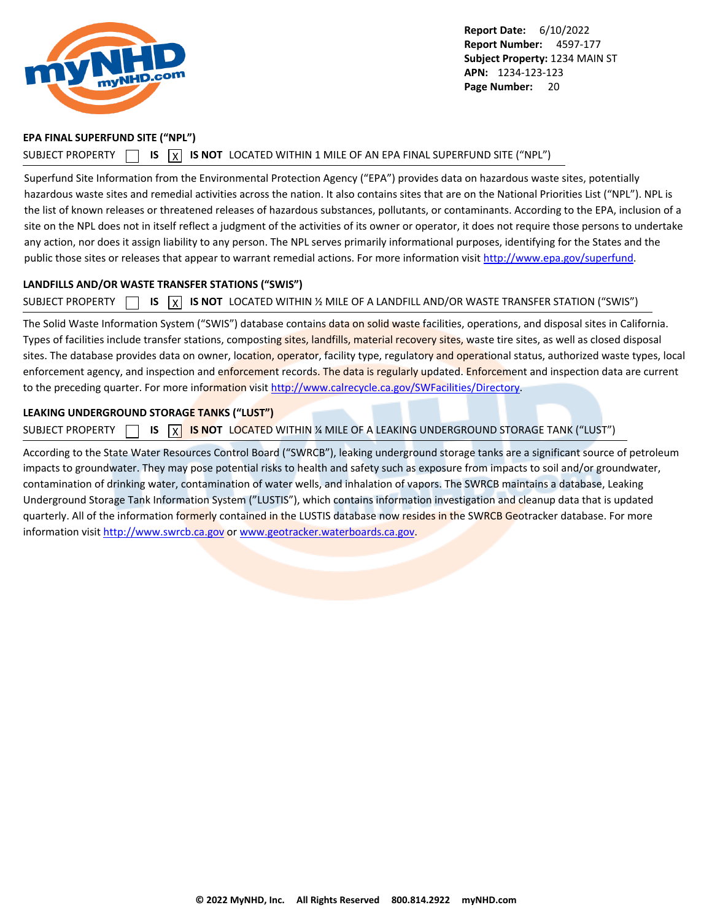<span id="page-21-0"></span>

#### **EPA FINAL SUPERFUND SITE ("NPL")**

#### SUBJECT PROPERTY  $\Box$  **IS**  $\Box$  **IS NOT** LOCATED WITHIN 1 MILE OF AN EPA FINAL SUPERFUND SITE ("NPL")

Superfund Site Information from the Environmental Protection Agency ("EPA") provides data on hazardous waste sites, potentially hazardous waste sites and remedial activities across the nation. It also contains sites that are on the National Priorities List ("NPL"). NPL is the list of known releases or threatened releases of hazardous substances, pollutants, or contaminants. According to the EPA, inclusion of a site on the NPL does not in itself reflect a judgment of the activities of its owner or operator, it does not require those persons to undertake any action, nor does it assign liability to any person. The NPL serves primarily informational purposes, identifying for the States and the public those sites or releases that appear to warrant remedial actions. For more information visit [http://www.epa.gov/superfund.](http://www.epa.gov/superfund)

#### **LANDFILLS AND/OR WASTE TRANSFER STATIONS ("SWIS")**

SUBJECT PROPERTY  $\Box$  **IS**  $\overline{X}$  **IS NOT** LOCATED WITHIN 1/2 MILE OF A LANDFILL AND/OR WASTE TRANSFER STATION ("SWIS")

The Solid Waste Information System ("SWIS") database contains data on solid waste facilities, operations, and disposal sites in California. Types of facilities include transfer stations, composting sites, landfills, material recovery sites, waste tire sites, as well as closed disposal sites. The database provides data on owner, location, operator, facility type, regulatory and operational status, authorized waste types, local enforcement agency, and inspection and enforcement records. The data is regularly updated. Enforcement and inspection data are current to the preceding quarter. For more information visit<http://www.calrecycle.ca.gov/SWFacilities/Directory>.

#### **LEAKING UNDERGROUND STORAGE TANKS ("LUST")**

SUBJECT PROPERTY **15 X IS NOT** LOCATED WITHIN <sup>%</sup> MILE OF A LEAKING UNDERGROUND STORAGE TANK ("LUST")

According to the State Water Resources Control Board ("SWRCB"), leaking underground storage tanks are a significant source of petroleum impacts to groundwater. They may pose potential risks to health and safety such as exposure from impacts to soil and/or groundwater, contamination of drinking water, contamination of water wells, and inhalation of vapors. The SWRCB maintains a database, Leaking Underground Storage Tank Information System ("LUSTIS"), which contains information investigation and cleanup data that is updated quarterly. All of the information formerly contained in the LUSTIS database now resides in the SWRCB Geotracker database. For more information visit <http://www.swrcb.ca.gov>or [www.geotracker.waterboards.ca.gov](http://www.geotracker.waterboards.ca.gov).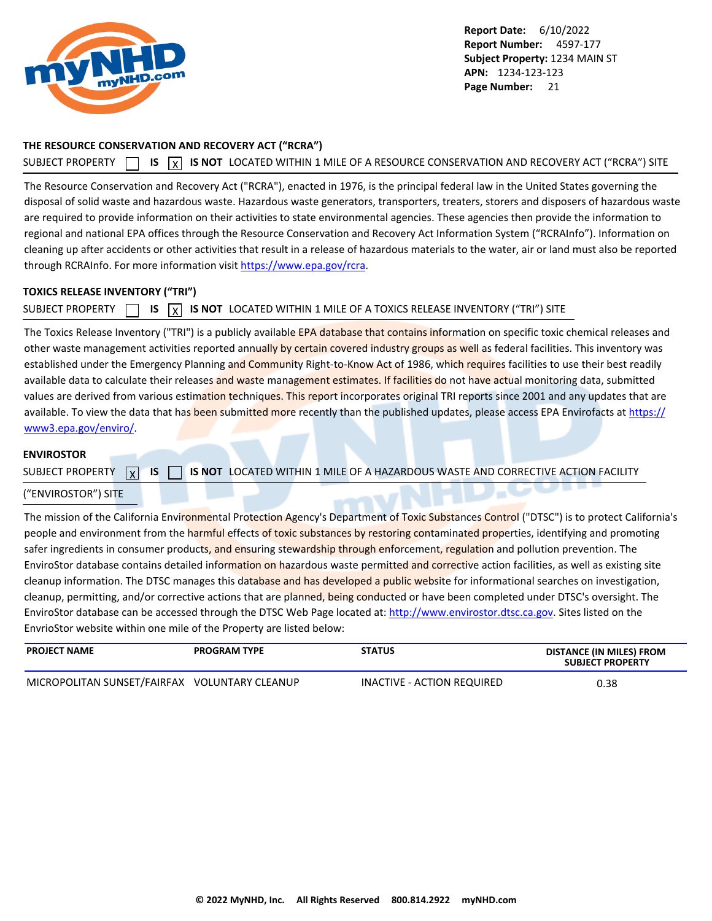<span id="page-22-0"></span>

#### **THE RESOURCE CONSERVATION AND RECOVERY ACT ("RCRA")**

SUBJECT PROPERTY **IS** IS **INOT** LOCATED WITHIN 1 MILE OF A RESOURCE CONSERVATION AND RECOVERY ACT ("RCRA") SITE

The Resource Conservation and Recovery Act ("RCRA"), enacted in 1976, is the principal federal law in the United States governing the disposal of solid waste and hazardous waste. Hazardous waste generators, transporters, treaters, storers and disposers of hazardous waste are required to provide information on their activities to state environmental agencies. These agencies then provide the information to regional and national EPA offices through the Resource Conservation and Recovery Act Information System ("RCRAInfo"). Information on cleaning up after accidents or other activities that result in a release of hazardous materials to the water, air or land must also be reported through RCRAInfo. For more information visit<https://www.epa.gov/rcra>.

#### **TOXICS RELEASE INVENTORY ("TRI")**

SUBJECT PROPERTY **15** IS **X** IS NOT LOCATED WITHIN 1 MILE OF A TOXICS RELEASE INVENTORY ("TRI") SITE

The Toxics Release Inventory ("TRI") is a publicly available EPA database that contains information on specific toxic chemical releases and other waste management activities reported annually by certain covered industry groups as well as federal facilities. This inventory was established under the Emergency Planning and Community Right-to-Know Act of 1986, which requires facilities to use their best readily available data to calculate their releases and waste management estimates. If facilities do not have actual monitoring data, submitted values are derived from various estimation techniques. This report incorporates original TRI reports since 2001 and any updates that are available. To view the data that has been submitted more recently than the published updates, please access EPA Envirofacts at [https://](https://www3.epa.gov/enviro/) [www3.epa.gov/enviro/](https://www3.epa.gov/enviro/).

### **ENVIROSTOR**

SUBJECT PROPERTY  $\boxed{\mathbf{x}}$ **IS 15 IS NOT** LOCATED WITHIN 1 MILE OF A HAZARDOUS WASTE AND CORRECTIVE ACTION FACILITY

### ("ENVIROSTOR") SITE

The mission of the California Environmental Protection Agency's Department of Toxic Substances Control ("DTSC") is to protect California's people and environment from the harmful effects of toxic substances by restoring contaminated properties, identifying and promoting safer ingredients in consumer products, and ensuring stewardship through enforcement, regulation and pollution prevention. The EnviroStor database contains detailed information on hazardous waste permitted and corrective action facilities, as well as existing site cleanup information. The DTSC manages this database and has developed a public website for informational searches on investigation, cleanup, permitting, and/or corrective actions that are planned, being conducted or have been completed under DTSC's oversight. The EnviroStor database can be accessed through the DTSC Web Page located at: [http://www.envirostor.dtsc.ca.gov.](http://www.envirostor.dtsc.ca.gov) Sites listed on the EnvrioStor website within one mile of the Property are listed below:

| <b>PROJECT NAME</b>                           | <b>PROGRAM TYPE</b> | <b>STATUS</b>              | DISTANCE (IN MILES) FROM<br><b>SUBJECT PROPERTY</b> |
|-----------------------------------------------|---------------------|----------------------------|-----------------------------------------------------|
| MICROPOLITAN SUNSET/FAIRFAX VOLUNTARY CLEANUP |                     | INACTIVE - ACTION REQUIRED | 0.38                                                |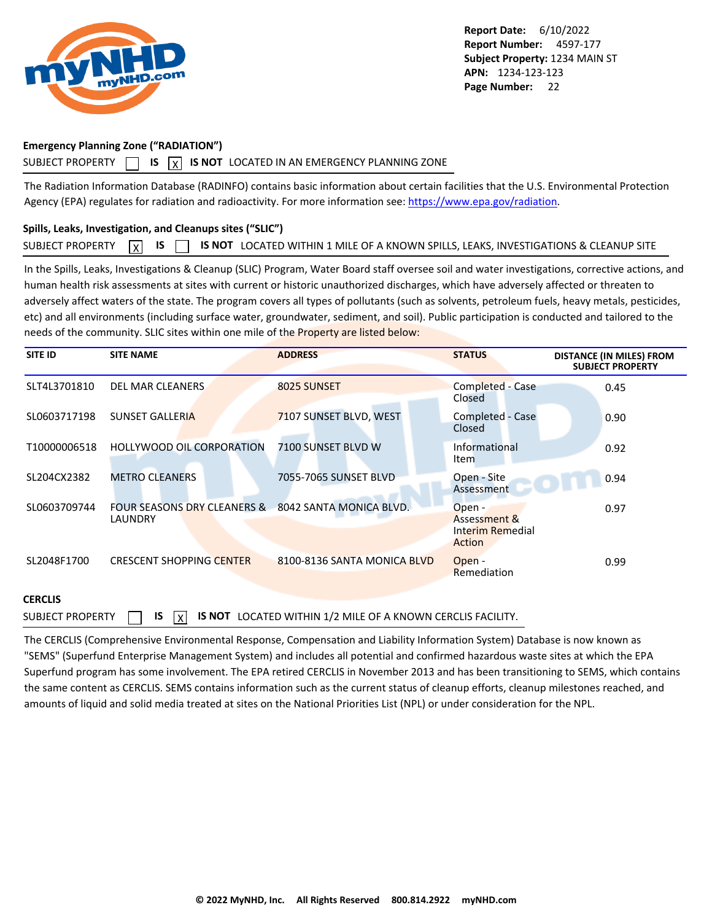<span id="page-23-0"></span>

### **Emergency Planning Zone ("RADIATION")**

### SUBJECT PROPERTY  $\Box$  **IS**  $\overline{X}$  **IS NOT** LOCATED IN AN EMERGENCY PLANNING ZONE

The Radiation Information Database (RADINFO) contains basic information about certain facilities that the U.S. Environmental Protection Agency (EPA) regulates for radiation and radioactivity. For more information see:<https://www.epa.gov/radiation>.

### **Spills, Leaks, Investigation, and Cleanups sites ("SLIC")**

|  |  |  |  | SUBJECT PROPERTY $\boxed{X}$ IS $\boxed{S}$ IS NOT LOCATED WITHIN 1 MILE OF A KNOWN SPILLS, LEAKS, INVESTIGATIONS & CLEANUP SITE |  |
|--|--|--|--|----------------------------------------------------------------------------------------------------------------------------------|--|
|--|--|--|--|----------------------------------------------------------------------------------------------------------------------------------|--|

In the Spills, Leaks, Investigations & Cleanup (SLIC) Program, Water Board staff oversee soil and water investigations, corrective actions, and human health risk assessments at sites with current or historic unauthorized discharges, which have adversely affected or threaten to adversely affect waters of the state. The program covers all types of pollutants (such as solvents, petroleum fuels, heavy metals, pesticides, etc) and all environments (including surface water, groundwater, sediment, and soil). Public participation is conducted and tailored to the needs of the community. SLIC sites within one mile of the Property are listed below:

| <b>SITE ID</b> | <b>SITE NAME</b>                                  | <b>ADDRESS</b>              | <b>STATUS</b>                                        | <b>DISTANCE (IN MILES) FROM</b><br><b>SUBJECT PROPERTY</b> |
|----------------|---------------------------------------------------|-----------------------------|------------------------------------------------------|------------------------------------------------------------|
| SLT4L3701810   | <b>DEL MAR CLEANERS</b>                           | 8025 SUNSET                 | Completed - Case<br>Closed                           | 0.45                                                       |
| SL0603717198   | <b>SUNSET GALLERIA</b>                            | 7107 SUNSET BLVD, WEST      | Completed - Case<br>Closed                           | 0.90                                                       |
| T10000006518   | <b>HOLLYWOOD OIL CORPORATION</b>                  | 7100 SUNSET BLVD W          | Informational<br><b>Item</b>                         | 0.92                                                       |
| SL204CX2382    | <b>METRO CLEANERS</b>                             | 7055-7065 SUNSET BLVD       | Open - Site<br>Assessment                            | 0.94                                                       |
| SL0603709744   | <b>FOUR SEASONS DRY CLEANERS &amp;</b><br>LAUNDRY | 8042 SANTA MONICA BLVD.     | Open -<br>Assessment &<br>Interim Remedial<br>Action | 0.97                                                       |
| SL2048F1700    | <b>CRESCENT SHOPPING CENTER</b>                   | 8100-8136 SANTA MONICA BLVD | Open -<br>Remediation                                | 0.99                                                       |

#### **CERCLIS**

SUBJECT PROPERTY  $\Box$  **IS**  $\Box$  **IS NOT** LOCATED WITHIN 1/2 MILE OF A KNOWN CERCLIS FACILITY.

The CERCLIS (Comprehensive Environmental Response, Compensation and Liability Information System) Database is now known as "SEMS" (Superfund Enterprise Management System) and includes all potential and confirmed hazardous waste sites at which the EPA Superfund program has some involvement. The EPA retired CERCLIS in November 2013 and has been transitioning to SEMS, which contains the same content as CERCLIS. SEMS contains information such as the current status of cleanup efforts, cleanup milestones reached, and amounts of liquid and solid media treated at sites on the National Priorities List (NPL) or under consideration for the NPL.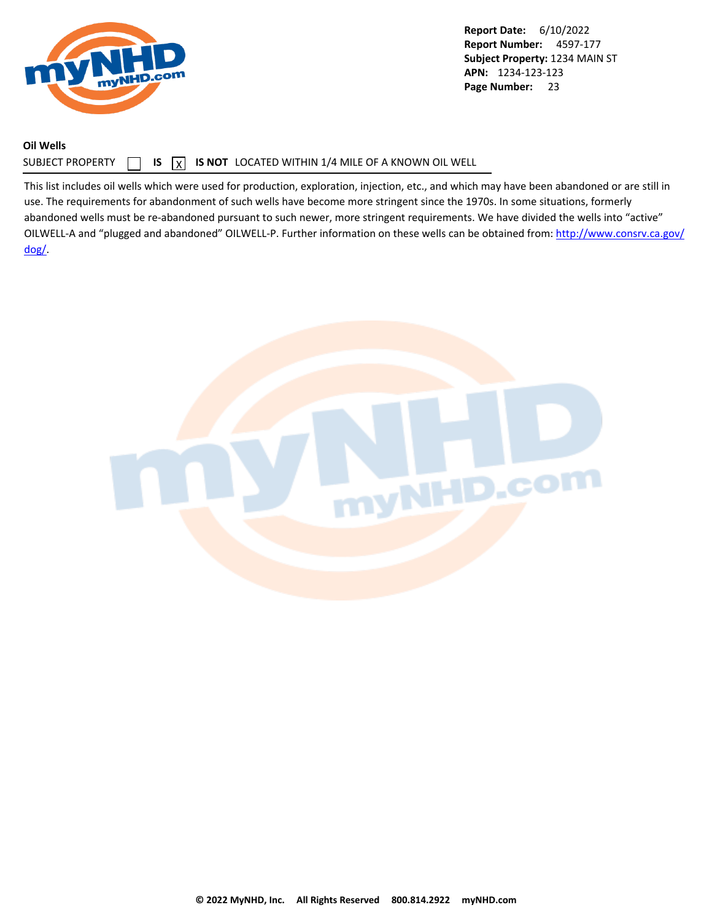<span id="page-24-0"></span>

### **Oil Wells**

### SUBJECT PROPERTY  $\Box$  **IS**  $\Box$  **IS NOT** LOCATED WITHIN 1/4 MILE OF A KNOWN OIL WELL

This list includes oil wells which were used for production, exploration, injection, etc., and which may have been abandoned or are still in use. The requirements for abandonment of such wells have become more stringent since the 1970s. In some situations, formerly abandoned wells must be re-abandoned pursuant to such newer, more stringent requirements. We have divided the wells into "active" OILWELL-A and "plugged and abandoned" OILWELL-P. Further information on these wells can be obtained from: [http://www.consrv.ca.gov/](http://www.consrv.ca.gov/dog/) [dog/.](http://www.consrv.ca.gov/dog/)

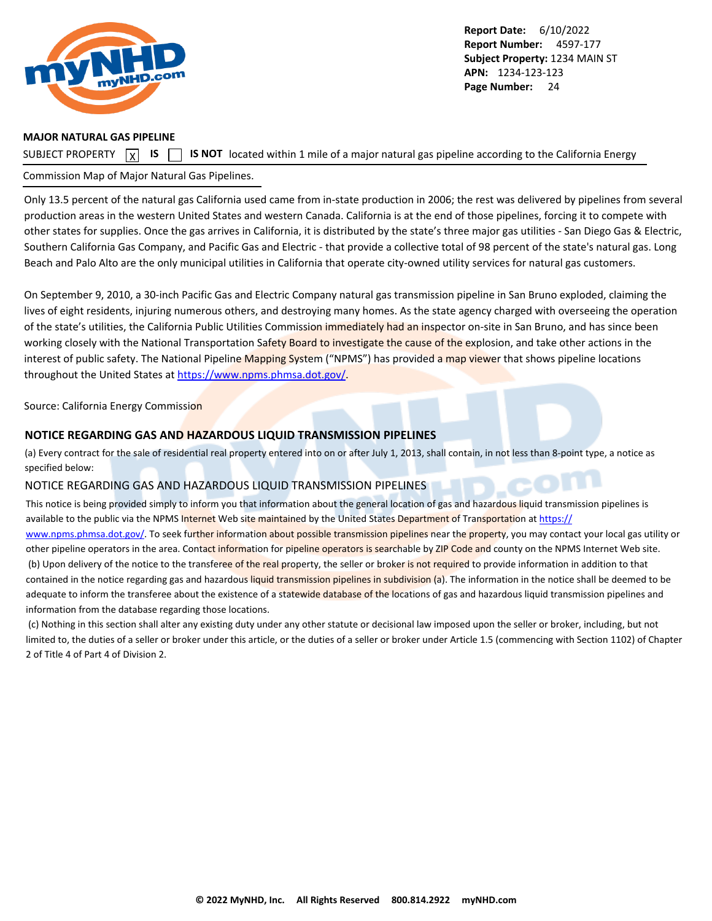<span id="page-25-0"></span>

#### **MAJOR NATURAL GAS PIPELINE**

SUBJECT PROPERTY  $\boxed{x}$  IS  $\boxed{y}$ **IS IS NOT** located within 1 mile of a major natural gas pipeline according to the California Energy

### Commission Map of Major Natural Gas Pipelines.

Only 13.5 percent of the natural gas California used came from in-state production in 2006; the rest was delivered by pipelines from several production areas in the western United States and western Canada. California is at the end of those pipelines, forcing it to compete with other states for supplies. Once the gas arrives in California, it is distributed by the state's three major gas utilities - San Diego Gas & Electric, Southern California Gas Company, and Pacific Gas and Electric - that provide a collective total of 98 percent of the state's natural gas. Long Beach and Palo Alto are the only municipal utilities in California that operate city-owned utility services for natural gas customers.

On September 9, 2010, a 30-inch Pacific Gas and Electric Company natural gas transmission pipeline in San Bruno exploded, claiming the lives of eight residents, injuring numerous others, and destroying many homes. As the state agency charged with overseeing the operation of the state's utilities, the California Public Utilities Commission immediately had an inspector on-site in San Bruno, and has since been working closely with the National Transportation Safety Board to investigate the cause of the explosion, and take other actions in the interest of public safety. The National Pipeline Mapping System ("NPMS") has provided a map viewer that shows pipeline locations throughout the United States at<https://www.npms.phmsa.dot.gov/>.

#### Source: California Energy Commission

#### **NOTICE REGARDING GAS AND HAZARDOUS LIQUID TRANSMISSION PIPELINES**

(a) Every contract for the sale of residential real property entered into on or after July 1, 2013, shall contain, in not less than 8-point type, a notice as specified below:

### NOTICE REGARDING GAS AND HAZARDOUS LIQUID TRANSMISSION PIPELINES

This notice is being provided simply to inform you that information about the general location of gas and hazardous liquid transmission pipelines is available to the public via the NPMS Internet Web site maintained by the United States Department of Transportation at [https://](https://www.npms.phmsa.dot.gov/)

[www.npms.phmsa.dot.gov/](https://www.npms.phmsa.dot.gov/). To seek further information about possible transmission pipelines near the property, you may contact your local gas utility or other pipeline operators in the area. Contact information for pipeline operators is searchable by ZIP Code and county on the NPMS Internet Web site. (b) Upon delivery of the notice to the transferee of the real property, the seller or broker is not required to provide information in addition to that contained in the notice regarding gas and hazardous liquid transmission pipelines in subdivision (a). The information in the notice shall be deemed to be adequate to inform the transferee about the existence of a statewide database of the locations of gas and hazardous liquid transmission pipelines and information from the database regarding those locations.

 (c) Nothing in this section shall alter any existing duty under any other statute or decisional law imposed upon the seller or broker, including, but not limited to, the duties of a seller or broker under this article, or the duties of a seller or broker under Article 1.5 (commencing with Section 1102) of Chapter 2 of Title 4 of Part 4 of Division 2.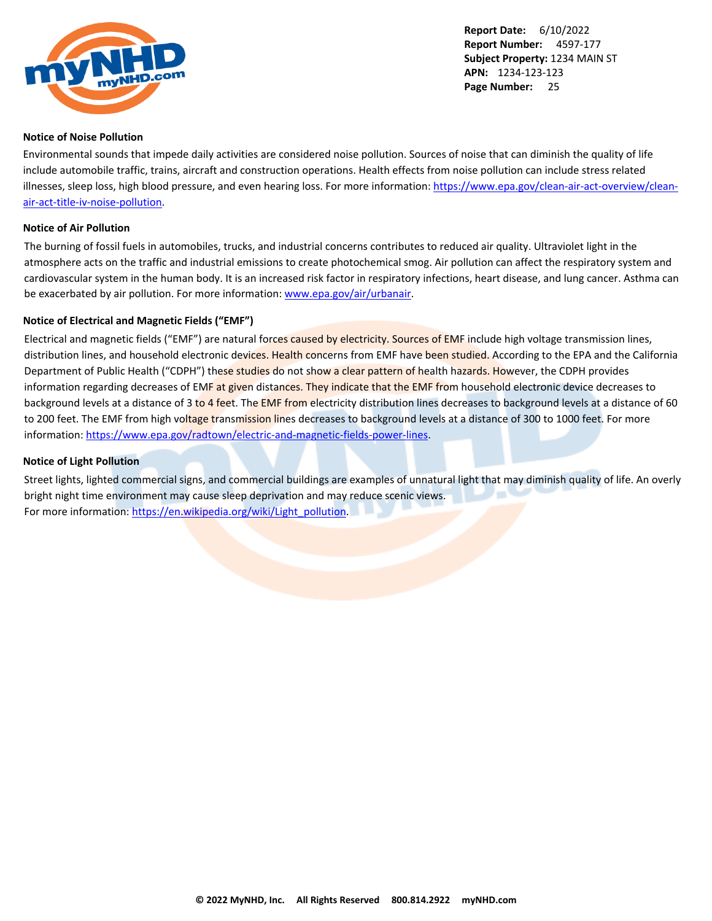<span id="page-26-0"></span>

#### **Notice of Noise Pollution**

Environmental sounds that impede daily activities are considered noise pollution. Sources of noise that can diminish the quality of life include automobile traffic, trains, aircraft and construction operations. Health effects from noise pollution can include stress related illnesses, sleep loss, high blood pressure, and even hearing loss. For more information: [https://www.epa.gov/clean-air-act-overview/clean](https://www.epa.gov/clean-air-act-overview/clean-air-act-title-iv-noise-pollution)[air-act-title-iv-noise-pollution](https://www.epa.gov/clean-air-act-overview/clean-air-act-title-iv-noise-pollution).

#### **Notice of Air Pollution**

The burning of fossil fuels in automobiles, trucks, and industrial concerns contributes to reduced air quality. Ultraviolet light in the atmosphere acts on the traffic and industrial emissions to create photochemical smog. Air pollution can affect the respiratory system and cardiovascular system in the human body. It is an increased risk factor in respiratory infections, heart disease, and lung cancer. Asthma can be exacerbated by air pollution. For more information: [www.epa.gov/air/urbanair](http://www.epa.gov/air/urbanair).

### **Notice of Electrical and Magnetic Fields ("EMF")**

Electrical and magnetic fields ("EMF") are natural forces caused by electricity. Sources of EMF include high voltage transmission lines, distribution lines, and household electronic devices. Health concerns from EMF have been studied. According to the EPA and the California Department of Public Health ("CDPH") these studies do not show a clear pattern of health hazards. However, the CDPH provides information regarding decreases of EMF at given distances. They indicate that the EMF from household electronic device decreases to background levels at a distance of 3 to 4 feet. The EMF from electricity distribution lines decreases to background levels at a distance of 60 to 200 feet. The EMF from high voltage transmission lines decreases to background levels at a distance of 300 to 1000 feet. For more information: <https://www.epa.gov/radtown/electric-and-magnetic-fields-power-lines>.

#### **Notice of Light Pollution**

Street lights, lighted commercial signs, and commercial buildings are examples of unnatural light that may diminish quality of life. An overly bright night time environment may cause sleep deprivation and may reduce scenic views. For more information: [https://en.wikipedia.org/wiki/Light\\_pollution](https://en.wikipedia.org/wiki/Light_pollution).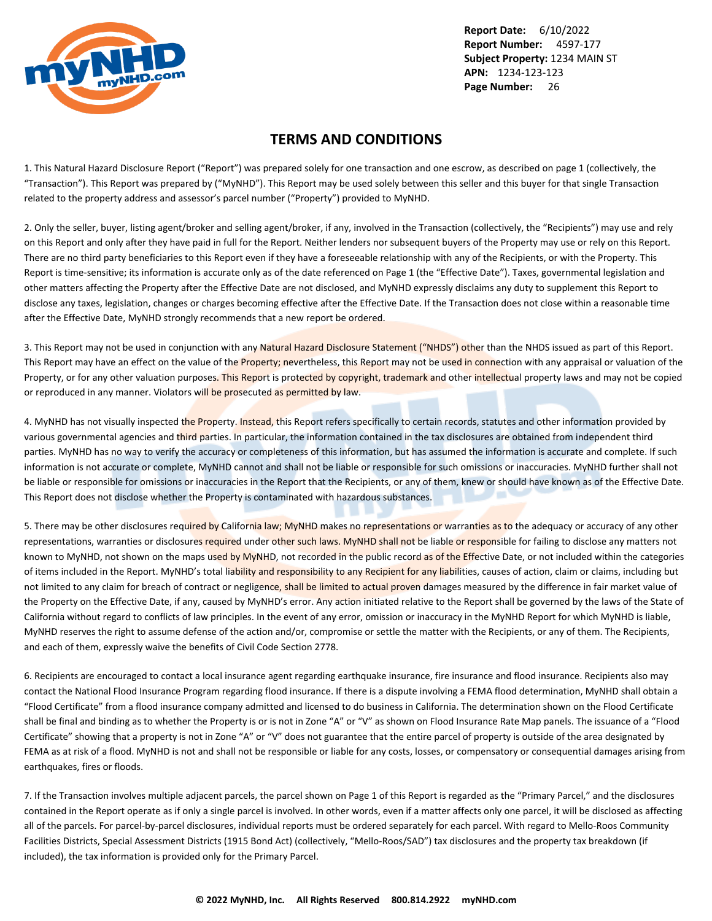<span id="page-27-0"></span>

### **TERMS AND CONDITIONS**

1. This Natural Hazard Disclosure Report ("Report") was prepared solely for one transaction and one escrow, as described on page 1 (collectively, the "Transaction"). This Report was prepared by ("MyNHD"). This Report may be used solely between this seller and this buyer for that single Transaction related to the property address and assessor's parcel number ("Property") provided to MyNHD.

2. Only the seller, buyer, listing agent/broker and selling agent/broker, if any, involved in the Transaction (collectively, the "Recipients") may use and rely on this Report and only after they have paid in full for the Report. Neither lenders nor subsequent buyers of the Property may use or rely on this Report. There are no third party beneficiaries to this Report even if they have a foreseeable relationship with any of the Recipients, or with the Property. This Report is time-sensitive; its information is accurate only as of the date referenced on Page 1 (the "Effective Date"). Taxes, governmental legislation and other matters affecting the Property after the Effective Date are not disclosed, and MyNHD expressly disclaims any duty to supplement this Report to disclose any taxes, legislation, changes or charges becoming effective after the Effective Date. If the Transaction does not close within a reasonable time after the Effective Date, MyNHD strongly recommends that a new report be ordered.

3. This Report may not be used in conjunction with any Natural Hazard Disclosure Statement ("NHDS") other than the NHDS issued as part of this Report. This Report may have an effect on the value of the Property; nevertheless, this Report may not be used in connection with any appraisal or valuation of the Property, or for any other valuation purposes. This Report is protected by copyright, trademark and other intellectual property laws and may not be copied or reproduced in any manner. Violators will be prosecuted as permitted by law.

4. MyNHD has not visually inspected the Property. Instead, this Report refers specifically to certain records, statutes and other information provided by various governmental agencies and third parties. In particular, the information contained in the tax disclosures are obtained from independent third parties. MyNHD has no way to verify the accuracy or completeness of this information, but has assumed the information is accurate and complete. If such information is not accurate or complete, MyNHD cannot and shall not be liable or responsible for such omissions or inaccuracies. MyNHD further shall not be liable or responsible for omissions or inaccuracies in the Report that the Recipients, or any of them, knew or should have known as of the Effective Date. This Report does not disclose whether the Property is contaminated with hazardous substances.

5. There may be other disclosures required by California law; MyNHD makes no representations or warranties as to the adequacy or accuracy of any other representations, warranties or disclosures required under other such laws. MyNHD shall not be liable or responsible for failing to disclose any matters not known to MyNHD, not shown on the maps used by MyNHD, not recorded in the public record as of the Effective Date, or not included within the categories of items included in the Report. MyNHD's total liability and responsibility to any Recipient for any liabilities, causes of action, claim or claims, including but not limited to any claim for breach of contract or negligence, shall be limited to actual proven damages measured by the difference in fair market value of the Property on the Effective Date, if any, caused by MyNHD's error. Any action initiated relative to the Report shall be governed by the laws of the State of California without regard to conflicts of law principles. In the event of any error, omission or inaccuracy in the MyNHD Report for which MyNHD is liable, MyNHD reserves the right to assume defense of the action and/or, compromise or settle the matter with the Recipients, or any of them. The Recipients, and each of them, expressly waive the benefits of Civil Code Section 2778.

6. Recipients are encouraged to contact a local insurance agent regarding earthquake insurance, fire insurance and flood insurance. Recipients also may contact the National Flood Insurance Program regarding flood insurance. If there is a dispute involving a FEMA flood determination, MyNHD shall obtain a "Flood Certificate" from a flood insurance company admitted and licensed to do business in California. The determination shown on the Flood Certificate shall be final and binding as to whether the Property is or is not in Zone "A" or "V" as shown on Flood Insurance Rate Map panels. The issuance of a "Flood Certificate" showing that a property is not in Zone "A" or "V" does not guarantee that the entire parcel of property is outside of the area designated by FEMA as at risk of a flood. MyNHD is not and shall not be responsible or liable for any costs, losses, or compensatory or consequential damages arising from earthquakes, fires or floods.

7. If the Transaction involves multiple adjacent parcels, the parcel shown on Page 1 of this Report is regarded as the "Primary Parcel," and the disclosures contained in the Report operate as if only a single parcel is involved. In other words, even if a matter affects only one parcel, it will be disclosed as affecting all of the parcels. For parcel-by-parcel disclosures, individual reports must be ordered separately for each parcel. With regard to Mello-Roos Community Facilities Districts, Special Assessment Districts (1915 Bond Act) (collectively, "Mello-Roos/SAD") tax disclosures and the property tax breakdown (if included), the tax information is provided only for the Primary Parcel.